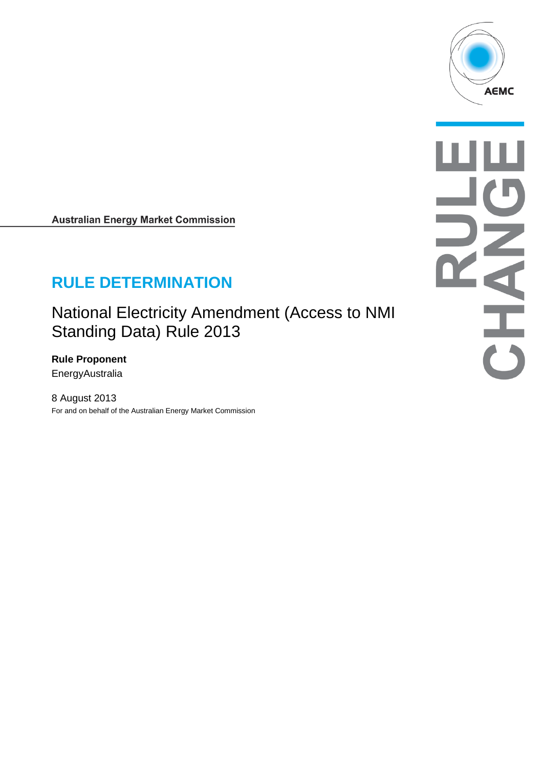

**Australian Energy Market Commission** 

# **RULE DETERMINATION**

National Electricity Amendment (Access to NMI Standing Data) Rule 2013

**Rule Proponent EnergyAustralia** 

8 August 2013 For and on behalf of the Australian Energy Market Commission

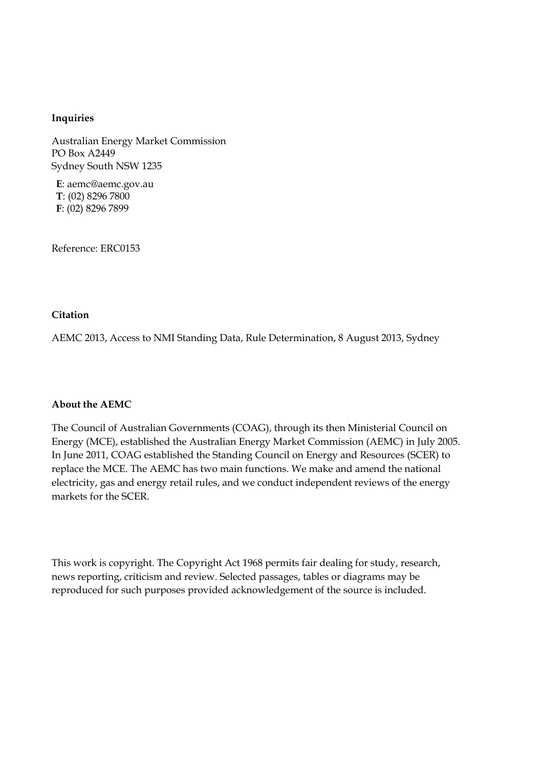#### **Inquiries**

Australian Energy Market Commission PO Box A2449 Sydney South NSW 1235

**E**: aemc@aemc.gov.au **T**: (02) 8296 7800 **F**: (02) 8296 7899

Reference: ERC0153

#### **Citation**

AEMC 2013, Access to NMI Standing Data, Rule Determination, 8 August 2013, Sydney

#### **About the AEMC**

The Council of Australian Governments (COAG), through its then Ministerial Council on Energy (MCE), established the Australian Energy Market Commission (AEMC) in July 2005. In June 2011, COAG established the Standing Council on Energy and Resources (SCER) to replace the MCE. The AEMC has two main functions. We make and amend the national electricity, gas and energy retail rules, and we conduct independent reviews of the energy markets for the SCER.

This work is copyright. The Copyright Act 1968 permits fair dealing for study, research, news reporting, criticism and review. Selected passages, tables or diagrams may be reproduced for such purposes provided acknowledgement of the source is included.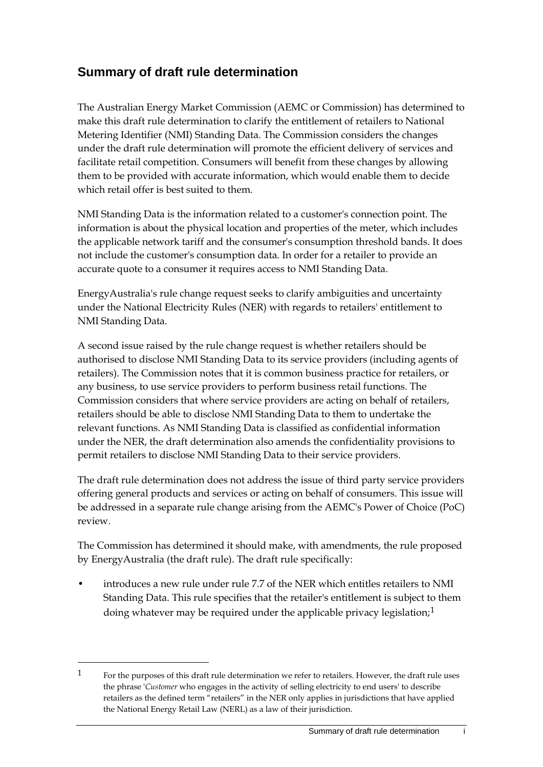## **Summary of draft rule determination**

The Australian Energy Market Commission (AEMC or Commission) has determined to make this draft rule determination to clarify the entitlement of retailers to National Metering Identifier (NMI) Standing Data. The Commission considers the changes under the draft rule determination will promote the efficient delivery of services and facilitate retail competition. Consumers will benefit from these changes by allowing them to be provided with accurate information, which would enable them to decide which retail offer is best suited to them.

NMI Standing Data is the information related to a customer's connection point. The information is about the physical location and properties of the meter, which includes the applicable network tariff and the consumer's consumption threshold bands. It does not include the customer's consumption data. In order for a retailer to provide an accurate quote to a consumer it requires access to NMI Standing Data.

EnergyAustralia's rule change request seeks to clarify ambiguities and uncertainty under the National Electricity Rules (NER) with regards to retailers' entitlement to NMI Standing Data.

A second issue raised by the rule change request is whether retailers should be authorised to disclose NMI Standing Data to its service providers (including agents of retailers). The Commission notes that it is common business practice for retailers, or any business, to use service providers to perform business retail functions. The Commission considers that where service providers are acting on behalf of retailers, retailers should be able to disclose NMI Standing Data to them to undertake the relevant functions. As NMI Standing Data is classified as confidential information under the NER, the draft determination also amends the confidentiality provisions to permit retailers to disclose NMI Standing Data to their service providers.

The draft rule determination does not address the issue of third party service providers offering general products and services or acting on behalf of consumers. This issue will be addressed in a separate rule change arising from the AEMC's Power of Choice (PoC) review.

The Commission has determined it should make, with amendments, the rule proposed by EnergyAustralia (the draft rule). The draft rule specifically:

• introduces a new rule under rule 7.7 of the NER which entitles retailers to NMI Standing Data. This rule specifies that the retailer's entitlement is subject to them doing whatever may be required under the applicable privacy legislation;<sup>[1](#page-2-0)</sup>

<span id="page-2-0"></span><sup>1</sup> For the purposes of this draft rule determination we refer to retailers. However, the draft rule uses the phrase '*Customer* who engages in the activity of selling electricity to end users' to describe retailers as the defined term "retailers" in the NER only applies in jurisdictions that have applied the National Energy Retail Law (NERL) as a law of their jurisdiction.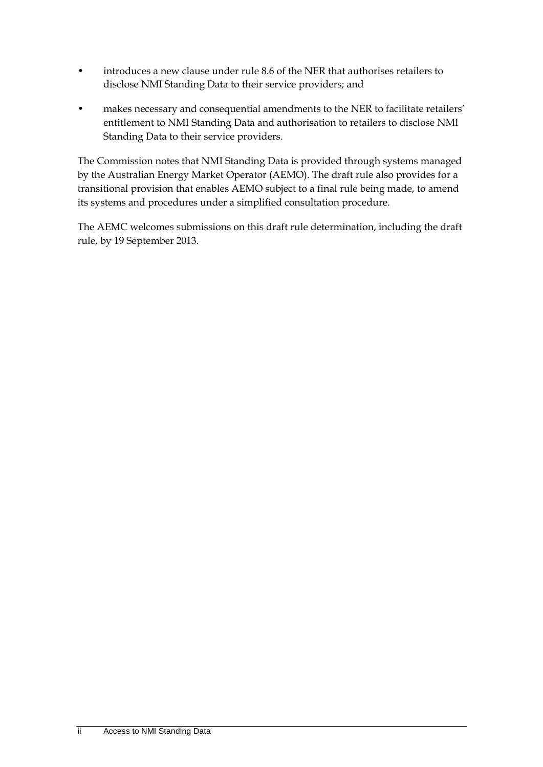- introduces a new clause under rule 8.6 of the NER that authorises retailers to disclose NMI Standing Data to their service providers; and
- makes necessary and consequential amendments to the NER to facilitate retailers' entitlement to NMI Standing Data and authorisation to retailers to disclose NMI Standing Data to their service providers.

The Commission notes that NMI Standing Data is provided through systems managed by the Australian Energy Market Operator (AEMO). The draft rule also provides for a transitional provision that enables AEMO subject to a final rule being made, to amend its systems and procedures under a simplified consultation procedure.

The AEMC welcomes submissions on this draft rule determination, including the draft rule, by 19 September 2013.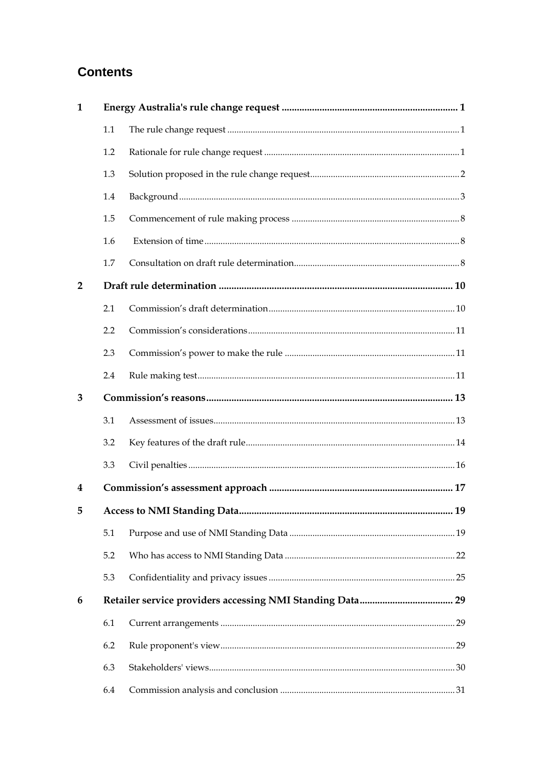## **Contents**

| $\mathbf{1}$   |     |  |
|----------------|-----|--|
|                | 1.1 |  |
|                | 1.2 |  |
|                | 1.3 |  |
|                | 1.4 |  |
|                | 1.5 |  |
|                | 1.6 |  |
|                | 1.7 |  |
| $\overline{2}$ |     |  |
|                | 2.1 |  |
|                | 2.2 |  |
|                | 2.3 |  |
|                | 2.4 |  |
| 3              |     |  |
|                | 3.1 |  |
|                | 3.2 |  |
|                | 3.3 |  |
| 4              |     |  |
| 5              |     |  |
|                | 5.1 |  |
|                | 5.2 |  |
|                | 5.3 |  |
| 6              |     |  |
|                | 6.1 |  |
|                | 6.2 |  |
|                | 6.3 |  |
|                | 6.4 |  |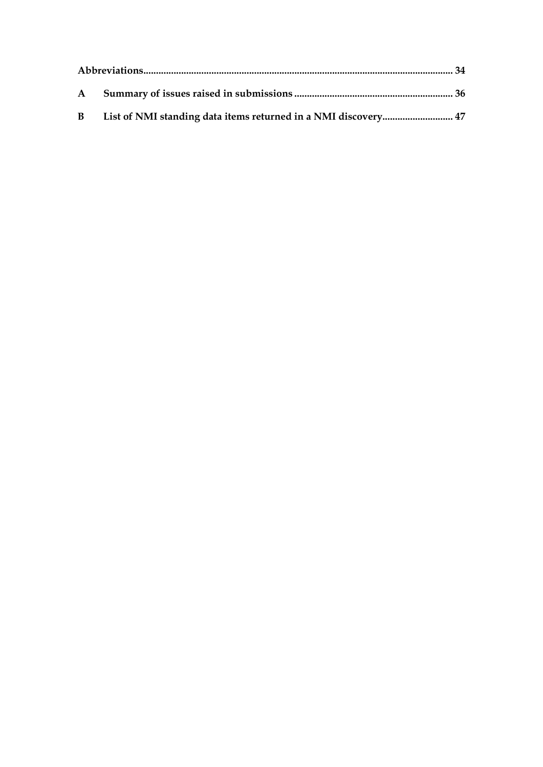| $\mathbf{B}$ |  |
|--------------|--|
|              |  |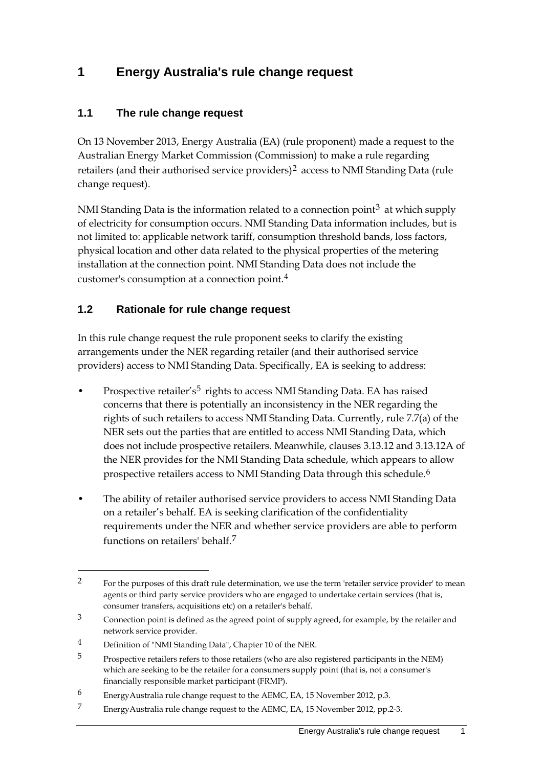## <span id="page-6-0"></span>**1 Energy Australia's rule change request**

#### <span id="page-6-1"></span>**1.1 The rule change request**

On 13 November 2013, Energy Australia (EA) (rule proponent) made a request to the Australian Energy Market Commission (Commission) to make a rule regarding retailers (and their authorised service providers)<sup>[2](#page-6-3)</sup> access to NMI Standing Data (rule change request).

NMI Standing Data is the information related to a connection point<sup>[3](#page-6-4)</sup> at which supply of electricity for consumption occurs. NMI Standing Data information includes, but is not limited to: applicable network tariff, consumption threshold bands, loss factors, physical location and other data related to the physical properties of the metering installation at the connection point. NMI Standing Data does not include the customer's consumption at a connection point.[4](#page-6-5)

#### <span id="page-6-2"></span>**1.2 Rationale for rule change request**

In this rule change request the rule proponent seeks to clarify the existing arrangements under the NER regarding retailer (and their authorised service providers) access to NMI Standing Data. Specifically, EA is seeking to address:

- Prospective retailer's<sup>[5](#page-6-6)</sup> rights to access NMI Standing Data. EA has raised concerns that there is potentially an inconsistency in the NER regarding the rights of such retailers to access NMI Standing Data. Currently, rule 7.7(a) of the NER sets out the parties that are entitled to access NMI Standing Data, which does not include prospective retailers. Meanwhile, clauses 3.13.12 and 3.13.12A of the NER provides for the NMI Standing Data schedule, which appears to allow prospective retailers access to NMI Standing Data through this schedule.<sup>[6](#page-6-7)</sup>
- The ability of retailer authorised service providers to access NMI Standing Data on a retailer's behalf. EA is seeking clarification of the confidentiality requirements under the NER and whether service providers are able to perform functions on retailers' behalf.[7](#page-6-8)

<span id="page-6-3"></span><sup>2</sup> For the purposes of this draft rule determination, we use the term 'retailer service provider' to mean agents or third party service providers who are engaged to undertake certain services (that is, consumer transfers, acquisitions etc) on a retailer's behalf.

<span id="page-6-4"></span> $3$  Connection point is defined as the agreed point of supply agreed, for example, by the retailer and network service provider.

<span id="page-6-5"></span><sup>4</sup> Definition of "NMI Standing Data", Chapter 10 of the NER.

<span id="page-6-6"></span><sup>&</sup>lt;sup>5</sup> Prospective retailers refers to those retailers (who are also registered participants in the NEM) which are seeking to be the retailer for a consumers supply point (that is, not a consumer's financially responsible market participant (FRMP).

<span id="page-6-7"></span><sup>6</sup> EnergyAustralia rule change request to the AEMC, EA, 15 November 2012, p.3.

<span id="page-6-8"></span><sup>7</sup> EnergyAustralia rule change request to the AEMC, EA, 15 November 2012, pp.2-3.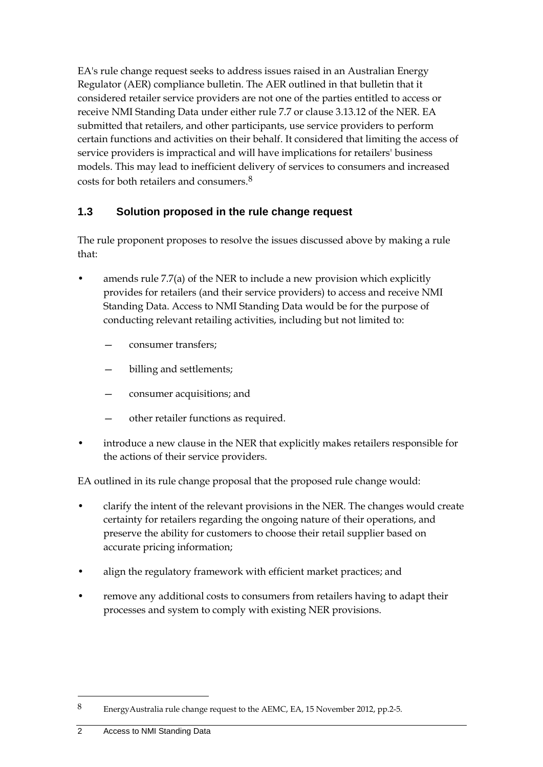EA's rule change request seeks to address issues raised in an Australian Energy Regulator (AER) compliance bulletin. The AER outlined in that bulletin that it considered retailer service providers are not one of the parties entitled to access or receive NMI Standing Data under either rule 7.7 or clause 3.13.12 of the NER. EA submitted that retailers, and other participants, use service providers to perform certain functions and activities on their behalf. It considered that limiting the access of service providers is impractical and will have implications for retailers' business models. This may lead to inefficient delivery of services to consumers and increased costs for both retailers and consumers.[8](#page-7-1)

#### <span id="page-7-0"></span>**1.3 Solution proposed in the rule change request**

The rule proponent proposes to resolve the issues discussed above by making a rule that:

- amends rule 7.7(a) of the NER to include a new provision which explicitly provides for retailers (and their service providers) to access and receive NMI Standing Data. Access to NMI Standing Data would be for the purpose of conducting relevant retailing activities, including but not limited to:
	- consumer transfers;
	- billing and settlements;
	- consumer acquisitions; and
	- other retailer functions as required.
- introduce a new clause in the NER that explicitly makes retailers responsible for the actions of their service providers.

EA outlined in its rule change proposal that the proposed rule change would:

- clarify the intent of the relevant provisions in the NER. The changes would create certainty for retailers regarding the ongoing nature of their operations, and preserve the ability for customers to choose their retail supplier based on accurate pricing information;
- align the regulatory framework with efficient market practices; and
- remove any additional costs to consumers from retailers having to adapt their processes and system to comply with existing NER provisions.

<span id="page-7-1"></span><sup>8</sup> EnergyAustralia rule change request to the AEMC, EA, 15 November 2012, pp.2-5.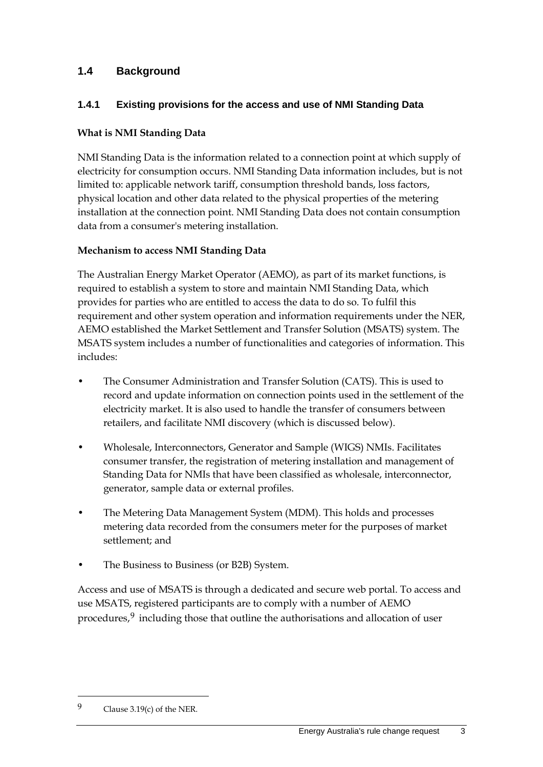#### <span id="page-8-0"></span>**1.4 Background**

#### **1.4.1 Existing provisions for the access and use of NMI Standing Data**

#### **What is NMI Standing Data**

NMI Standing Data is the information related to a connection point at which supply of electricity for consumption occurs. NMI Standing Data information includes, but is not limited to: applicable network tariff, consumption threshold bands, loss factors, physical location and other data related to the physical properties of the metering installation at the connection point. NMI Standing Data does not contain consumption data from a consumer's metering installation.

#### **Mechanism to access NMI Standing Data**

The Australian Energy Market Operator (AEMO), as part of its market functions, is required to establish a system to store and maintain NMI Standing Data, which provides for parties who are entitled to access the data to do so. To fulfil this requirement and other system operation and information requirements under the NER, AEMO established the Market Settlement and Transfer Solution (MSATS) system. The MSATS system includes a number of functionalities and categories of information. This includes:

- The Consumer Administration and Transfer Solution (CATS). This is used to record and update information on connection points used in the settlement of the electricity market. It is also used to handle the transfer of consumers between retailers, and facilitate NMI discovery (which is discussed below).
- Wholesale, Interconnectors, Generator and Sample (WIGS) NMIs. Facilitates consumer transfer, the registration of metering installation and management of Standing Data for NMIs that have been classified as wholesale, interconnector, generator, sample data or external profiles.
- The Metering Data Management System (MDM). This holds and processes metering data recorded from the consumers meter for the purposes of market settlement; and
- The Business to Business (or B2B) System.

Access and use of MSATS is through a dedicated and secure web portal. To access and use MSATS, registered participants are to comply with a number of AEMO procedures,[9](#page-8-1) including those that outline the authorisations and allocation of user

<span id="page-8-1"></span><sup>9</sup> Clause 3.19(c) of the NER.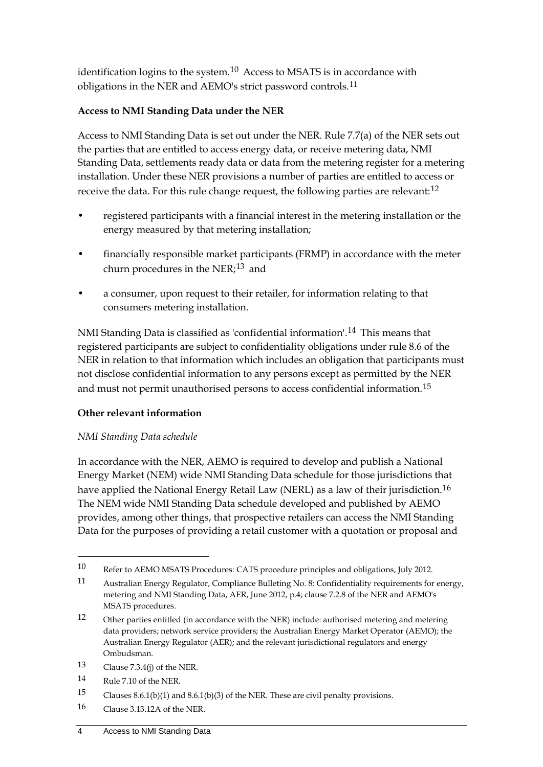identification logins to the system. $10$  Access to MSATS is in accordance with obligations in the NER and AEMO's strict password controls.<sup>[11](#page-9-1)</sup>

#### **Access to NMI Standing Data under the NER**

Access to NMI Standing Data is set out under the NER. Rule 7.7(a) of the NER sets out the parties that are entitled to access energy data, or receive metering data, NMI Standing Data, settlements ready data or data from the metering register for a metering installation. Under these NER provisions a number of parties are entitled to access or receive the data. For this rule change request, the following parties are relevant:<sup>[12](#page-9-2)</sup>

- registered participants with a financial interest in the metering installation or the energy measured by that metering installation;
- financially responsible market participants (FRMP) in accordance with the meter churn procedures in the NER: $13$  and
- a consumer, upon request to their retailer, for information relating to that consumers metering installation.

NMI Standing Data is classified as 'confidential information'.<sup>[14](#page-9-4)</sup> This means that registered participants are subject to confidentiality obligations under rule 8.6 of the NER in relation to that information which includes an obligation that participants must not disclose confidential information to any persons except as permitted by the NER and must not permit unauthorised persons to access confidential information.<sup>[15](#page-9-5)</sup>

#### **Other relevant information**

#### *NMI Standing Data schedule*

In accordance with the NER, AEMO is required to develop and publish a National Energy Market (NEM) wide NMI Standing Data schedule for those jurisdictions that have applied the National Energy Retail Law (NERL) as a law of their jurisdiction.<sup>[16](#page-9-6)</sup> The NEM wide NMI Standing Data schedule developed and published by AEMO provides, among other things, that prospective retailers can access the NMI Standing Data for the purposes of providing a retail customer with a quotation or proposal and

- <span id="page-9-3"></span>13 Clause 7.3.4(j) of the NER.
- <span id="page-9-4"></span>14 Rule 7.10 of the NER.

- <span id="page-9-5"></span>15 Clauses 8.6.1(b)(1) and 8.6.1(b)(3) of the NER. These are civil penalty provisions.
- <span id="page-9-6"></span>16 Clause 3.13.12A of the NER.

<span id="page-9-0"></span><sup>10</sup> Refer to AEMO MSATS Procedures: CATS procedure principles and obligations, July 2012.

<span id="page-9-1"></span><sup>11</sup> Australian Energy Regulator, Compliance Bulleting No. 8: Confidentiality requirements for energy, metering and NMI Standing Data, AER, June 2012, p.4; clause 7.2.8 of the NER and AEMO's MSATS procedures.

<span id="page-9-2"></span><sup>12</sup> Other parties entitled (in accordance with the NER) include: authorised metering and metering data providers; network service providers; the Australian Energy Market Operator (AEMO); the Australian Energy Regulator (AER); and the relevant jurisdictional regulators and energy Ombudsman.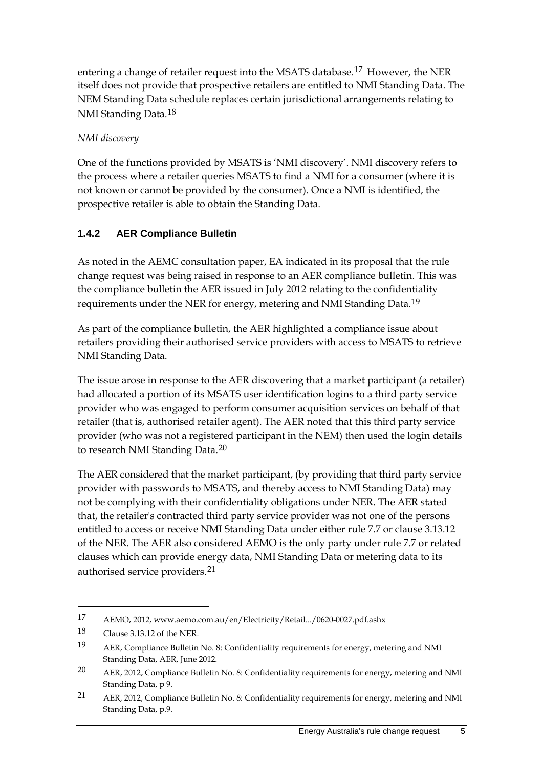entering a change of retailer request into the MSATS database.[17](#page-10-0) However, the NER itself does not provide that prospective retailers are entitled to NMI Standing Data. The NEM Standing Data schedule replaces certain jurisdictional arrangements relating to NMI Standing Data.[18](#page-10-1)

#### *NMI discovery*

One of the functions provided by MSATS is 'NMI discovery'. NMI discovery refers to the process where a retailer queries MSATS to find a NMI for a consumer (where it is not known or cannot be provided by the consumer). Once a NMI is identified, the prospective retailer is able to obtain the Standing Data.

#### **1.4.2 AER Compliance Bulletin**

As noted in the AEMC consultation paper, EA indicated in its proposal that the rule change request was being raised in response to an AER compliance bulletin. This was the compliance bulletin the AER issued in July 2012 relating to the confidentiality requirements under the NER for energy, metering and NMI Standing Data.<sup>[19](#page-10-2)</sup>

As part of the compliance bulletin, the AER highlighted a compliance issue about retailers providing their authorised service providers with access to MSATS to retrieve NMI Standing Data.

The issue arose in response to the AER discovering that a market participant (a retailer) had allocated a portion of its MSATS user identification logins to a third party service provider who was engaged to perform consumer acquisition services on behalf of that retailer (that is, authorised retailer agent). The AER noted that this third party service provider (who was not a registered participant in the NEM) then used the login details to research NMI Standing Data.<sup>[20](#page-10-3)</sup>

The AER considered that the market participant, (by providing that third party service provider with passwords to MSATS, and thereby access to NMI Standing Data) may not be complying with their confidentiality obligations under NER. The AER stated that, the retailer's contracted third party service provider was not one of the persons entitled to access or receive NMI Standing Data under either rule 7.7 or clause 3.13.12 of the NER. The AER also considered AEMO is the only party under rule 7.7 or related clauses which can provide energy data, NMI Standing Data or metering data to its authorised service providers.<sup>[21](#page-10-4)</sup>

<span id="page-10-0"></span><sup>17</sup> AEMO, 2012, www.aemo.com.au/en/Electricity/Retail.../0620-0027.pdf.ashx

<span id="page-10-1"></span><sup>18</sup> Clause 3.13.12 of the NER.

<span id="page-10-2"></span><sup>19</sup> AER, Compliance Bulletin No. 8: Confidentiality requirements for energy, metering and NMI Standing Data, AER, June 2012.

<span id="page-10-3"></span><sup>20</sup> AER, 2012, Compliance Bulletin No. 8: Confidentiality requirements for energy, metering and NMI Standing Data, p 9.

<span id="page-10-4"></span><sup>21</sup> AER, 2012, Compliance Bulletin No. 8: Confidentiality requirements for energy, metering and NMI Standing Data, p.9.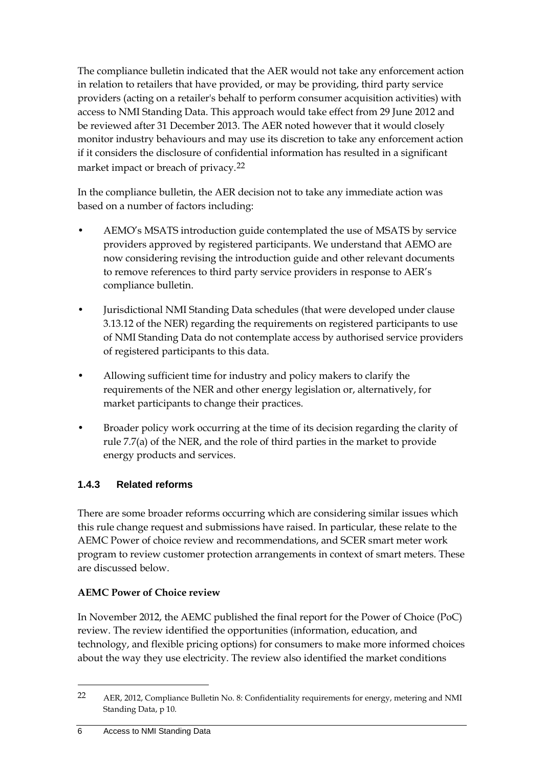The compliance bulletin indicated that the AER would not take any enforcement action in relation to retailers that have provided, or may be providing, third party service providers (acting on a retailer's behalf to perform consumer acquisition activities) with access to NMI Standing Data. This approach would take effect from 29 June 2012 and be reviewed after 31 December 2013. The AER noted however that it would closely monitor industry behaviours and may use its discretion to take any enforcement action if it considers the disclosure of confidential information has resulted in a significant market impact or breach of privacy.[22](#page-11-0)

In the compliance bulletin, the AER decision not to take any immediate action was based on a number of factors including:

- AEMO's MSATS introduction guide contemplated the use of MSATS by service providers approved by registered participants. We understand that AEMO are now considering revising the introduction guide and other relevant documents to remove references to third party service providers in response to AER's compliance bulletin.
- Jurisdictional NMI Standing Data schedules (that were developed under clause 3.13.12 of the NER) regarding the requirements on registered participants to use of NMI Standing Data do not contemplate access by authorised service providers of registered participants to this data.
- Allowing sufficient time for industry and policy makers to clarify the requirements of the NER and other energy legislation or, alternatively, for market participants to change their practices.
- Broader policy work occurring at the time of its decision regarding the clarity of rule 7.7(a) of the NER, and the role of third parties in the market to provide energy products and services.

#### **1.4.3 Related reforms**

There are some broader reforms occurring which are considering similar issues which this rule change request and submissions have raised. In particular, these relate to the AEMC Power of choice review and recommendations, and SCER smart meter work program to review customer protection arrangements in context of smart meters. These are discussed below.

#### **AEMC Power of Choice review**

In November 2012, the AEMC published the final report for the Power of Choice (PoC) review. The review identified the opportunities (information, education, and technology, and flexible pricing options) for consumers to make more informed choices about the way they use electricity. The review also identified the market conditions

<span id="page-11-0"></span><sup>22</sup> AER, 2012, Compliance Bulletin No. 8: Confidentiality requirements for energy, metering and NMI Standing Data, p 10.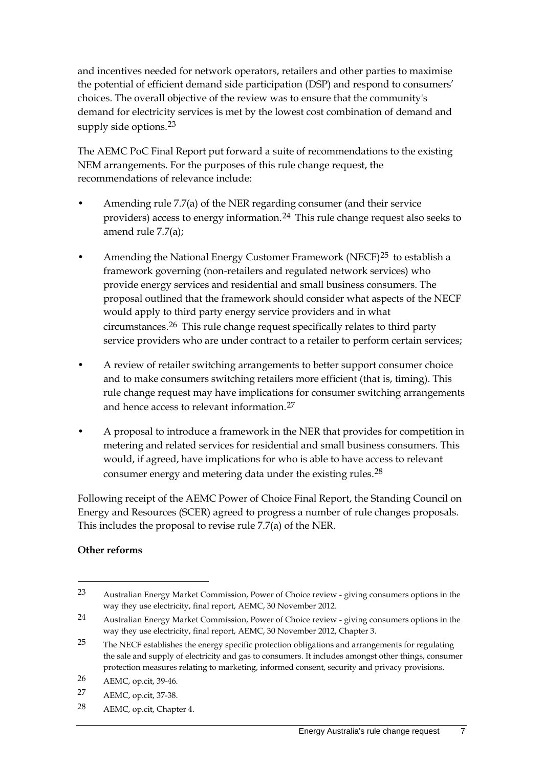and incentives needed for network operators, retailers and other parties to maximise the potential of efficient demand side participation (DSP) and respond to consumers' choices. The overall objective of the review was to ensure that the community's demand for electricity services is met by the lowest cost combination of demand and supply side options.<sup>[23](#page-12-0)</sup>

The AEMC PoC Final Report put forward a suite of recommendations to the existing NEM arrangements. For the purposes of this rule change request, the recommendations of relevance include:

- Amending rule 7.7(a) of the NER regarding consumer (and their service providers) access to energy information.[24](#page-12-1) This rule change request also seeks to amend rule 7.7(a);
- Amending the National Energy Customer Framework (NECF)<sup>[25](#page-12-2)</sup> to establish a framework governing (non-retailers and regulated network services) who provide energy services and residential and small business consumers. The proposal outlined that the framework should consider what aspects of the NECF would apply to third party energy service providers and in what circumstances.[26](#page-12-3) This rule change request specifically relates to third party service providers who are under contract to a retailer to perform certain services;
- A review of retailer switching arrangements to better support consumer choice and to make consumers switching retailers more efficient (that is, timing). This rule change request may have implications for consumer switching arrangements and hence access to relevant information.<sup>[27](#page-12-4)</sup>
- A proposal to introduce a framework in the NER that provides for competition in metering and related services for residential and small business consumers. This would, if agreed, have implications for who is able to have access to relevant consumer energy and metering data under the existing rules.<sup>[28](#page-12-5)</sup>

Following receipt of the AEMC Power of Choice Final Report, the Standing Council on Energy and Resources (SCER) agreed to progress a number of rule changes proposals. This includes the proposal to revise rule 7.7(a) of the NER.

#### **Other reforms**

-

<span id="page-12-5"></span>28 AEMC, op.cit, Chapter 4.

<span id="page-12-0"></span><sup>23</sup> Australian Energy Market Commission, Power of Choice review - giving consumers options in the way they use electricity, final report, AEMC, 30 November 2012.

<span id="page-12-1"></span><sup>24</sup> Australian Energy Market Commission, Power of Choice review - giving consumers options in the way they use electricity, final report, AEMC, 30 November 2012, Chapter 3.

<span id="page-12-2"></span><sup>&</sup>lt;sup>25</sup> The NECF establishes the energy specific protection obligations and arrangements for regulating the sale and supply of electricity and gas to consumers. It includes amongst other things, consumer protection measures relating to marketing, informed consent, security and privacy provisions.

<span id="page-12-3"></span><sup>26</sup> AEMC, op.cit, 39-46.

<span id="page-12-4"></span><sup>27</sup> AEMC, op.cit, 37-38.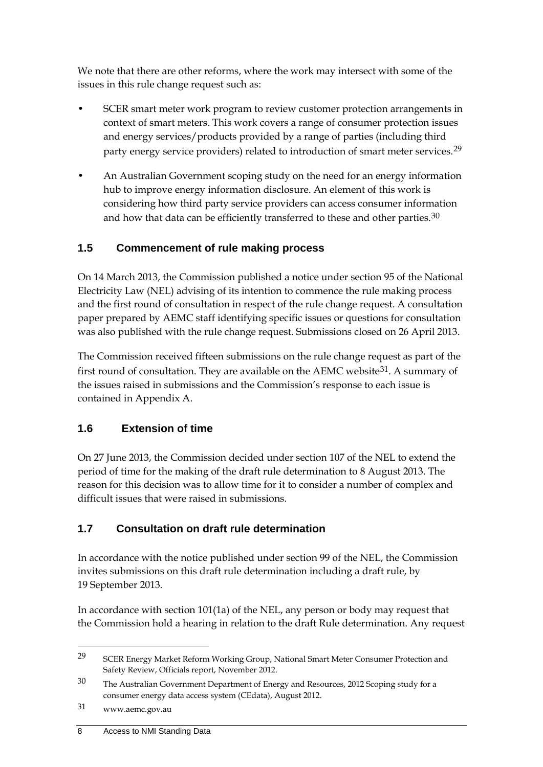We note that there are other reforms, where the work may intersect with some of the issues in this rule change request such as:

- SCER smart meter work program to review customer protection arrangements in context of smart meters. This work covers a range of consumer protection issues and energy services/products provided by a range of parties (including third party energy service providers) related to introduction of smart meter services.<sup>[29](#page-13-3)</sup>
- An Australian Government scoping study on the need for an energy information hub to improve energy information disclosure. An element of this work is considering how third party service providers can access consumer information and how that data can be efficiently transferred to these and other parties.<sup>[30](#page-13-4)</sup>

### <span id="page-13-0"></span>**1.5 Commencement of rule making process**

On 14 March 2013, the Commission published a notice under section 95 of the National Electricity Law (NEL) advising of its intention to commence the rule making process and the first round of consultation in respect of the rule change request. A consultation paper prepared by AEMC staff identifying specific issues or questions for consultation was also published with the rule change request. Submissions closed on 26 April 2013.

The Commission received fifteen submissions on the rule change request as part of the first round of consultation. They are available on the AEMC website<sup>[31](#page-13-5)</sup>. A summary of the issues raised in submissions and the Commission's response to each issue is contained in Appendix A.

#### <span id="page-13-1"></span>**1.6 Extension of time**

On 27 June 2013, the Commission decided under section 107 of the NEL to extend the period of time for the making of the draft rule determination to 8 August 2013. The reason for this decision was to allow time for it to consider a number of complex and difficult issues that were raised in submissions.

#### <span id="page-13-2"></span>**1.7 Consultation on draft rule determination**

In accordance with the notice published under section 99 of the NEL, the Commission invites submissions on this draft rule determination including a draft rule, by 19 September 2013.

In accordance with section 101(1a) of the NEL, any person or body may request that the Commission hold a hearing in relation to the draft Rule determination. Any request

<span id="page-13-3"></span><sup>&</sup>lt;sup>29</sup> SCER Energy Market Reform Working Group, National Smart Meter Consumer Protection and Safety Review, Officials report, November 2012.

<span id="page-13-4"></span><sup>30</sup> The Australian Government Department of Energy and Resources, 2012 Scoping study for a consumer energy data access system (CEdata), August 2012.

<span id="page-13-5"></span><sup>31</sup> www.aemc.gov.au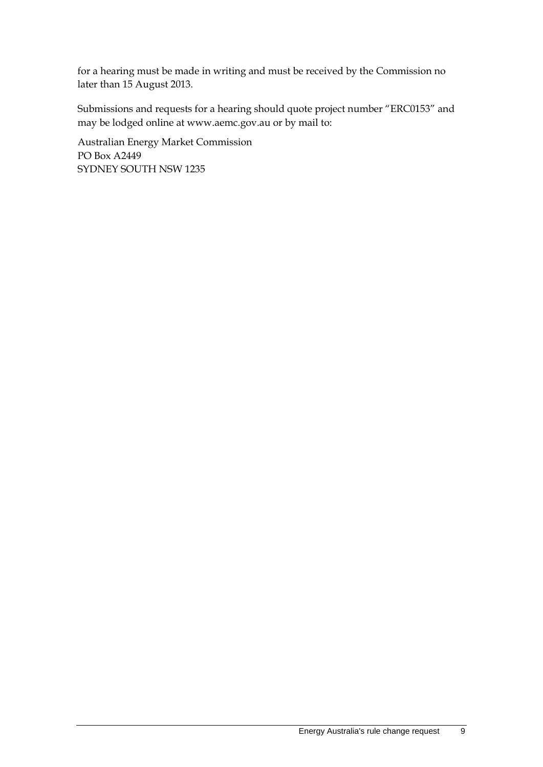for a hearing must be made in writing and must be received by the Commission no later than 15 August 2013.

Submissions and requests for a hearing should quote project number "ERC0153" and may be lodged online at www.aemc.gov.au or by mail to:

Australian Energy Market Commission PO Box A2449 SYDNEY SOUTH NSW 1235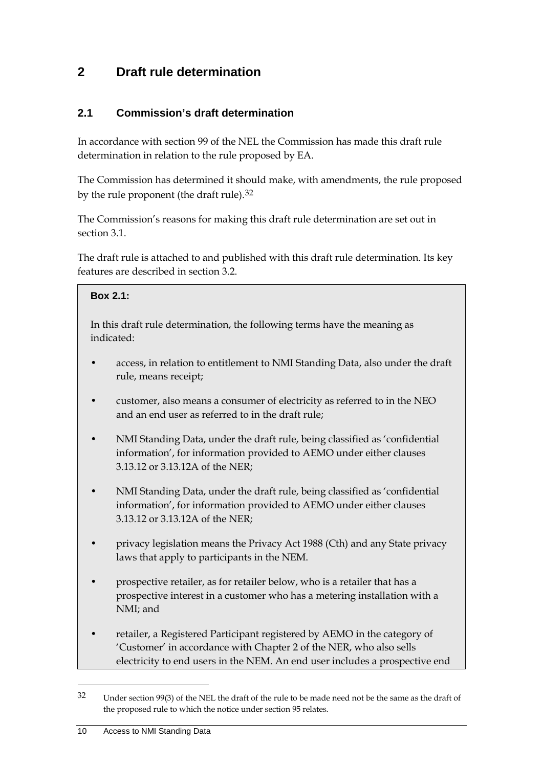## <span id="page-15-0"></span>**2 Draft rule determination**

### <span id="page-15-1"></span>**2.1 Commission's draft determination**

In accordance with section 99 of the NEL the Commission has made this draft rule determination in relation to the rule proposed by EA.

The Commission has determined it should make, with amendments, the rule proposed by the rule proponent (the draft rule).<sup>[32](#page-15-2)</sup>

The Commission's reasons for making this draft rule determination are set out in section 3.1.

The draft rule is attached to and published with this draft rule determination. Its key features are described in section 3.2.

#### **Box 2.1:**

In this draft rule determination, the following terms have the meaning as indicated:

- access, in relation to entitlement to NMI Standing Data, also under the draft rule, means receipt;
- customer, also means a consumer of electricity as referred to in the NEO and an end user as referred to in the draft rule;
- NMI Standing Data, under the draft rule, being classified as 'confidential information', for information provided to AEMO under either clauses 3.13.12 or 3.13.12A of the NER;
- NMI Standing Data, under the draft rule, being classified as 'confidential information', for information provided to AEMO under either clauses 3.13.12 or 3.13.12A of the NER;
- privacy legislation means the Privacy Act 1988 (Cth) and any State privacy laws that apply to participants in the NEM.
- prospective retailer, as for retailer below, who is a retailer that has a prospective interest in a customer who has a metering installation with a NMI; and
- retailer, a Registered Participant registered by AEMO in the category of 'Customer' in accordance with Chapter 2 of the NER, who also sells electricity to end users in the NEM. An end user includes a prospective end

<span id="page-15-2"></span><sup>32</sup> Under section 99(3) of the NEL the draft of the rule to be made need not be the same as the draft of the proposed rule to which the notice under section 95 relates.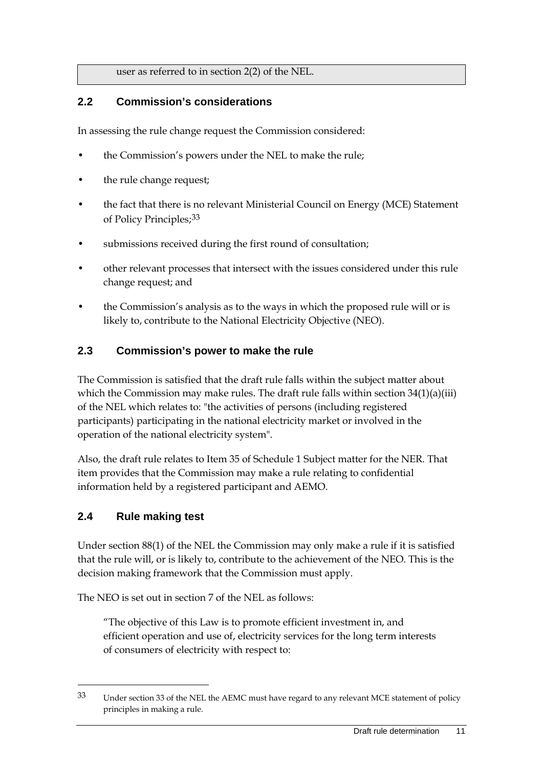user as referred to in section 2(2) of the NEL.

#### <span id="page-16-0"></span>**2.2 Commission's considerations**

In assessing the rule change request the Commission considered:

- the Commission's powers under the NEL to make the rule;
- the rule change request;
- the fact that there is no relevant Ministerial Council on Energy (MCE) Statement of Policy Principles;[33](#page-16-3)
- submissions received during the first round of consultation;
- other relevant processes that intersect with the issues considered under this rule change request; and
- the Commission's analysis as to the ways in which the proposed rule will or is likely to, contribute to the National Electricity Objective (NEO).

#### <span id="page-16-1"></span>**2.3 Commission's power to make the rule**

The Commission is satisfied that the draft rule falls within the subject matter about which the Commission may make rules. The draft rule falls within section 34(1)(a)(iii) of the NEL which relates to: "the activities of persons (including registered participants) participating in the national electricity market or involved in the operation of the national electricity system".

Also, the draft rule relates to Item 35 of Schedule 1 Subject matter for the NER. That item provides that the Commission may make a rule relating to confidential information held by a registered participant and AEMO.

#### <span id="page-16-2"></span>**2.4 Rule making test**

-

Under section 88(1) of the NEL the Commission may only make a rule if it is satisfied that the rule will, or is likely to, contribute to the achievement of the NEO. This is the decision making framework that the Commission must apply.

The NEO is set out in section 7 of the NEL as follows:

"The objective of this Law is to promote efficient investment in, and efficient operation and use of, electricity services for the long term interests of consumers of electricity with respect to:

<span id="page-16-3"></span><sup>33</sup> Under section 33 of the NEL the AEMC must have regard to any relevant MCE statement of policy principles in making a rule.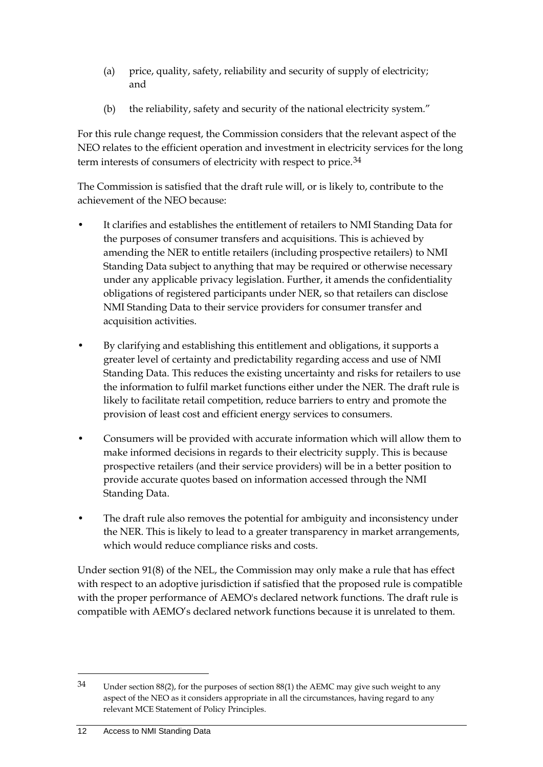- (a) price, quality, safety, reliability and security of supply of electricity; and
- (b) the reliability, safety and security of the national electricity system."

For this rule change request, the Commission considers that the relevant aspect of the NEO relates to the efficient operation and investment in electricity services for the long term interests of consumers of electricity with respect to price.<sup>[34](#page-17-0)</sup>

The Commission is satisfied that the draft rule will, or is likely to, contribute to the achievement of the NEO because:

- It clarifies and establishes the entitlement of retailers to NMI Standing Data for the purposes of consumer transfers and acquisitions. This is achieved by amending the NER to entitle retailers (including prospective retailers) to NMI Standing Data subject to anything that may be required or otherwise necessary under any applicable privacy legislation. Further, it amends the confidentiality obligations of registered participants under NER, so that retailers can disclose NMI Standing Data to their service providers for consumer transfer and acquisition activities.
- By clarifying and establishing this entitlement and obligations, it supports a greater level of certainty and predictability regarding access and use of NMI Standing Data. This reduces the existing uncertainty and risks for retailers to use the information to fulfil market functions either under the NER. The draft rule is likely to facilitate retail competition, reduce barriers to entry and promote the provision of least cost and efficient energy services to consumers.
- Consumers will be provided with accurate information which will allow them to make informed decisions in regards to their electricity supply. This is because prospective retailers (and their service providers) will be in a better position to provide accurate quotes based on information accessed through the NMI Standing Data.
- The draft rule also removes the potential for ambiguity and inconsistency under the NER. This is likely to lead to a greater transparency in market arrangements, which would reduce compliance risks and costs.

Under section 91(8) of the NEL, the Commission may only make a rule that has effect with respect to an adoptive jurisdiction if satisfied that the proposed rule is compatible with the proper performance of AEMO's declared network functions. The draft rule is compatible with AEMO's declared network functions because it is unrelated to them.

<span id="page-17-0"></span><sup>34</sup> Under section 88(2), for the purposes of section 88(1) the AEMC may give such weight to any aspect of the NEO as it considers appropriate in all the circumstances, having regard to any relevant MCE Statement of Policy Principles.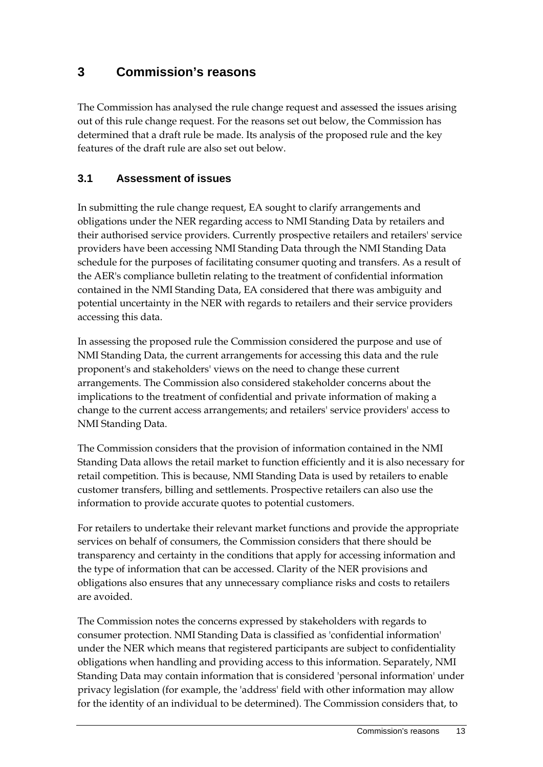## <span id="page-18-0"></span>**3 Commission's reasons**

The Commission has analysed the rule change request and assessed the issues arising out of this rule change request. For the reasons set out below, the Commission has determined that a draft rule be made. Its analysis of the proposed rule and the key features of the draft rule are also set out below.

### <span id="page-18-1"></span>**3.1 Assessment of issues**

In submitting the rule change request, EA sought to clarify arrangements and obligations under the NER regarding access to NMI Standing Data by retailers and their authorised service providers. Currently prospective retailers and retailers' service providers have been accessing NMI Standing Data through the NMI Standing Data schedule for the purposes of facilitating consumer quoting and transfers. As a result of the AER's compliance bulletin relating to the treatment of confidential information contained in the NMI Standing Data, EA considered that there was ambiguity and potential uncertainty in the NER with regards to retailers and their service providers accessing this data.

In assessing the proposed rule the Commission considered the purpose and use of NMI Standing Data, the current arrangements for accessing this data and the rule proponent's and stakeholders' views on the need to change these current arrangements. The Commission also considered stakeholder concerns about the implications to the treatment of confidential and private information of making a change to the current access arrangements; and retailers' service providers' access to NMI Standing Data.

The Commission considers that the provision of information contained in the NMI Standing Data allows the retail market to function efficiently and it is also necessary for retail competition. This is because, NMI Standing Data is used by retailers to enable customer transfers, billing and settlements. Prospective retailers can also use the information to provide accurate quotes to potential customers.

For retailers to undertake their relevant market functions and provide the appropriate services on behalf of consumers, the Commission considers that there should be transparency and certainty in the conditions that apply for accessing information and the type of information that can be accessed. Clarity of the NER provisions and obligations also ensures that any unnecessary compliance risks and costs to retailers are avoided.

The Commission notes the concerns expressed by stakeholders with regards to consumer protection. NMI Standing Data is classified as 'confidential information' under the NER which means that registered participants are subject to confidentiality obligations when handling and providing access to this information. Separately, NMI Standing Data may contain information that is considered 'personal information' under privacy legislation (for example, the 'address' field with other information may allow for the identity of an individual to be determined). The Commission considers that, to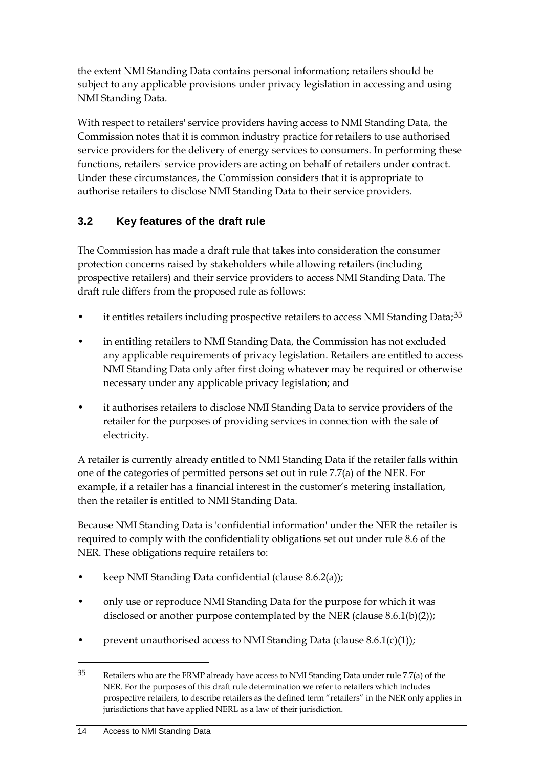the extent NMI Standing Data contains personal information; retailers should be subject to any applicable provisions under privacy legislation in accessing and using NMI Standing Data.

With respect to retailers' service providers having access to NMI Standing Data, the Commission notes that it is common industry practice for retailers to use authorised service providers for the delivery of energy services to consumers. In performing these functions, retailers' service providers are acting on behalf of retailers under contract. Under these circumstances, the Commission considers that it is appropriate to authorise retailers to disclose NMI Standing Data to their service providers.

### <span id="page-19-0"></span>**3.2 Key features of the draft rule**

The Commission has made a draft rule that takes into consideration the consumer protection concerns raised by stakeholders while allowing retailers (including prospective retailers) and their service providers to access NMI Standing Data. The draft rule differs from the proposed rule as follows:

- it entitles retailers including prospective retailers to access NMI Standing Data;<sup>[35](#page-19-1)</sup>
- in entitling retailers to NMI Standing Data, the Commission has not excluded any applicable requirements of privacy legislation. Retailers are entitled to access NMI Standing Data only after first doing whatever may be required or otherwise necessary under any applicable privacy legislation; and
- it authorises retailers to disclose NMI Standing Data to service providers of the retailer for the purposes of providing services in connection with the sale of electricity.

A retailer is currently already entitled to NMI Standing Data if the retailer falls within one of the categories of permitted persons set out in rule 7.7(a) of the NER. For example, if a retailer has a financial interest in the customer's metering installation, then the retailer is entitled to NMI Standing Data.

Because NMI Standing Data is 'confidential information' under the NER the retailer is required to comply with the confidentiality obligations set out under rule 8.6 of the NER. These obligations require retailers to:

- keep NMI Standing Data confidential (clause 8.6.2(a));
- only use or reproduce NMI Standing Data for the purpose for which it was disclosed or another purpose contemplated by the NER (clause 8.6.1(b)(2));
- prevent unauthorised access to NMI Standing Data (clause  $8.6.1(c)(1)$ );

<span id="page-19-1"></span> $35$  Retailers who are the FRMP already have access to NMI Standing Data under rule 7.7(a) of the NER. For the purposes of this draft rule determination we refer to retailers which includes prospective retailers, to describe retailers as the defined term "retailers" in the NER only applies in jurisdictions that have applied NERL as a law of their jurisdiction.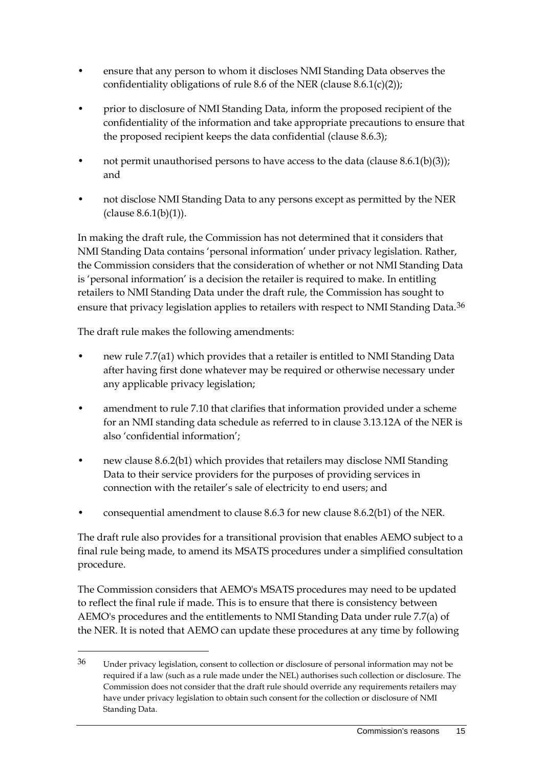- ensure that any person to whom it discloses NMI Standing Data observes the confidentiality obligations of rule 8.6 of the NER (clause 8.6.1(c)(2));
- prior to disclosure of NMI Standing Data, inform the proposed recipient of the confidentiality of the information and take appropriate precautions to ensure that the proposed recipient keeps the data confidential (clause 8.6.3);
- not permit unauthorised persons to have access to the data (clause  $8.6.1(b)(3)$ ); and
- not disclose NMI Standing Data to any persons except as permitted by the NER (clause 8.6.1(b)(1)).

In making the draft rule, the Commission has not determined that it considers that NMI Standing Data contains 'personal information' under privacy legislation. Rather, the Commission considers that the consideration of whether or not NMI Standing Data is 'personal information' is a decision the retailer is required to make. In entitling retailers to NMI Standing Data under the draft rule, the Commission has sought to ensure that privacy legislation applies to retailers with respect to NMI Standing Data.<sup>[36](#page-20-0)</sup>

The draft rule makes the following amendments:

-

- new rule 7.7(a1) which provides that a retailer is entitled to NMI Standing Data after having first done whatever may be required or otherwise necessary under any applicable privacy legislation;
- amendment to rule 7.10 that clarifies that information provided under a scheme for an NMI standing data schedule as referred to in clause 3.13.12A of the NER is also 'confidential information';
- new clause 8.6.2(b1) which provides that retailers may disclose NMI Standing Data to their service providers for the purposes of providing services in connection with the retailer's sale of electricity to end users; and
- consequential amendment to clause 8.6.3 for new clause 8.6.2(b1) of the NER.

The draft rule also provides for a transitional provision that enables AEMO subject to a final rule being made, to amend its MSATS procedures under a simplified consultation procedure.

The Commission considers that AEMO's MSATS procedures may need to be updated to reflect the final rule if made. This is to ensure that there is consistency between AEMO's procedures and the entitlements to NMI Standing Data under rule 7.7(a) of the NER. It is noted that AEMO can update these procedures at any time by following

<span id="page-20-0"></span><sup>36</sup> Under privacy legislation, consent to collection or disclosure of personal information may not be required if a law (such as a rule made under the NEL) authorises such collection or disclosure. The Commission does not consider that the draft rule should override any requirements retailers may have under privacy legislation to obtain such consent for the collection or disclosure of NMI Standing Data.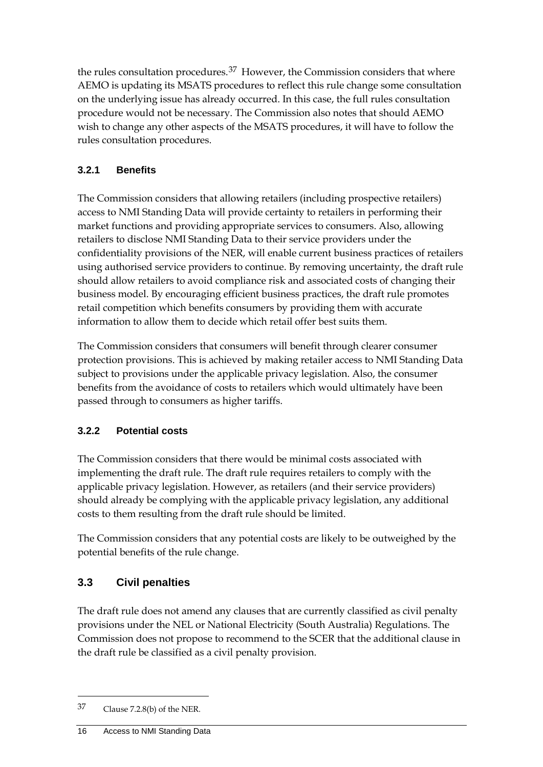the rules consultation procedures.<sup>[37](#page-21-1)</sup> However, the Commission considers that where AEMO is updating its MSATS procedures to reflect this rule change some consultation on the underlying issue has already occurred. In this case, the full rules consultation procedure would not be necessary. The Commission also notes that should AEMO wish to change any other aspects of the MSATS procedures, it will have to follow the rules consultation procedures.

### **3.2.1 Benefits**

The Commission considers that allowing retailers (including prospective retailers) access to NMI Standing Data will provide certainty to retailers in performing their market functions and providing appropriate services to consumers. Also, allowing retailers to disclose NMI Standing Data to their service providers under the confidentiality provisions of the NER, will enable current business practices of retailers using authorised service providers to continue. By removing uncertainty, the draft rule should allow retailers to avoid compliance risk and associated costs of changing their business model. By encouraging efficient business practices, the draft rule promotes retail competition which benefits consumers by providing them with accurate information to allow them to decide which retail offer best suits them.

The Commission considers that consumers will benefit through clearer consumer protection provisions. This is achieved by making retailer access to NMI Standing Data subject to provisions under the applicable privacy legislation. Also, the consumer benefits from the avoidance of costs to retailers which would ultimately have been passed through to consumers as higher tariffs.

#### **3.2.2 Potential costs**

The Commission considers that there would be minimal costs associated with implementing the draft rule. The draft rule requires retailers to comply with the applicable privacy legislation. However, as retailers (and their service providers) should already be complying with the applicable privacy legislation, any additional costs to them resulting from the draft rule should be limited.

The Commission considers that any potential costs are likely to be outweighed by the potential benefits of the rule change.

### <span id="page-21-0"></span>**3.3 Civil penalties**

The draft rule does not amend any clauses that are currently classified as civil penalty provisions under the NEL or National Electricity (South Australia) Regulations. The Commission does not propose to recommend to the SCER that the additional clause in the draft rule be classified as a civil penalty provision.

<span id="page-21-1"></span><sup>37</sup> Clause 7.2.8(b) of the NER.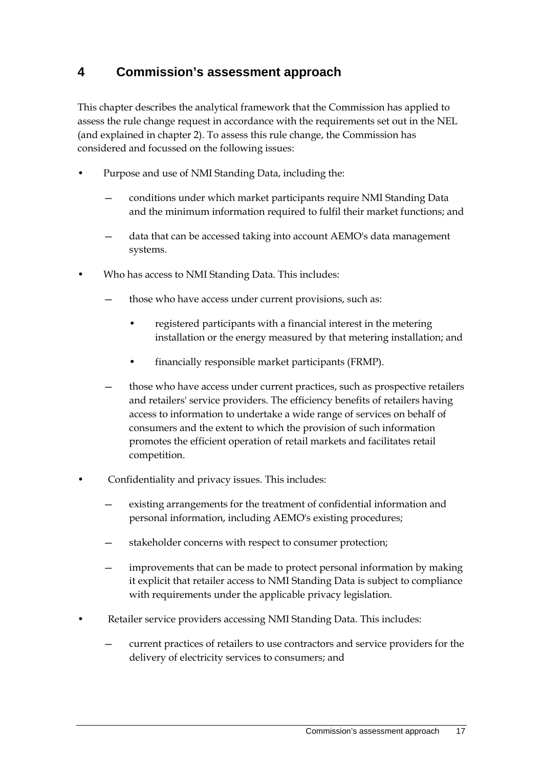## <span id="page-22-0"></span>**4 Commission's assessment approach**

This chapter describes the analytical framework that the Commission has applied to assess the rule change request in accordance with the requirements set out in the NEL (and explained in chapter 2). To assess this rule change, the Commission has considered and focussed on the following issues:

- Purpose and use of NMI Standing Data, including the:
	- conditions under which market participants require NMI Standing Data and the minimum information required to fulfil their market functions; and
	- data that can be accessed taking into account AEMO's data management systems.
- Who has access to NMI Standing Data. This includes:
	- those who have access under current provisions, such as:
		- registered participants with a financial interest in the metering installation or the energy measured by that metering installation; and
		- financially responsible market participants (FRMP).
	- those who have access under current practices, such as prospective retailers and retailers' service providers. The efficiency benefits of retailers having access to information to undertake a wide range of services on behalf of consumers and the extent to which the provision of such information promotes the efficient operation of retail markets and facilitates retail competition.
- Confidentiality and privacy issues. This includes:
	- existing arrangements for the treatment of confidential information and personal information, including AEMO's existing procedures;
	- stakeholder concerns with respect to consumer protection;
	- improvements that can be made to protect personal information by making it explicit that retailer access to NMI Standing Data is subject to compliance with requirements under the applicable privacy legislation.
- Retailer service providers accessing NMI Standing Data. This includes:
	- current practices of retailers to use contractors and service providers for the delivery of electricity services to consumers; and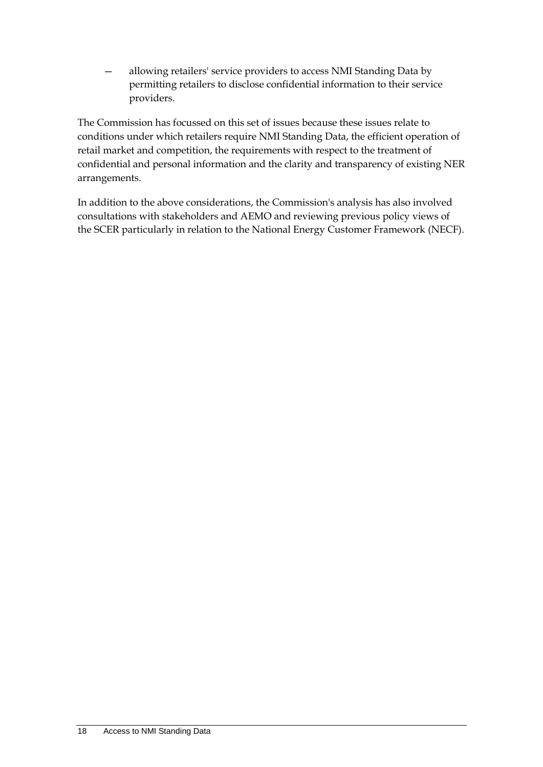— allowing retailers' service providers to access NMI Standing Data by permitting retailers to disclose confidential information to their service providers.

The Commission has focussed on this set of issues because these issues relate to conditions under which retailers require NMI Standing Data, the efficient operation of retail market and competition, the requirements with respect to the treatment of confidential and personal information and the clarity and transparency of existing NER arrangements.

In addition to the above considerations, the Commission's analysis has also involved consultations with stakeholders and AEMO and reviewing previous policy views of the SCER particularly in relation to the National Energy Customer Framework (NECF).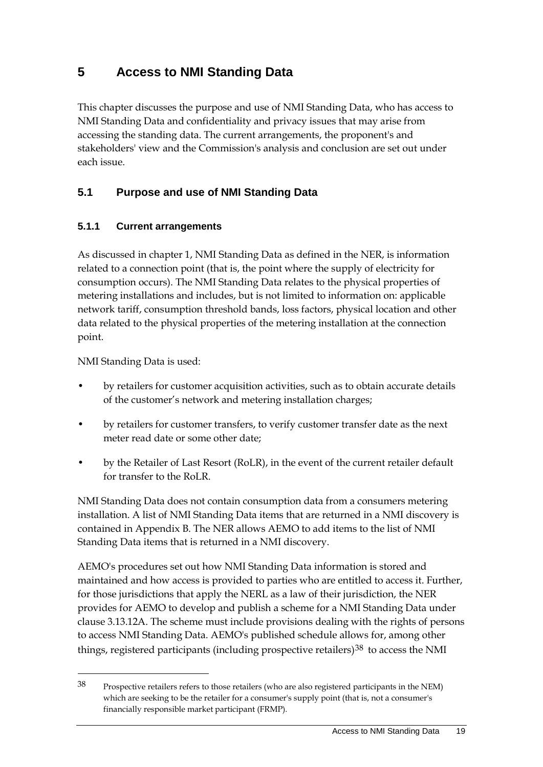## <span id="page-24-0"></span>**5 Access to NMI Standing Data**

This chapter discusses the purpose and use of NMI Standing Data, who has access to NMI Standing Data and confidentiality and privacy issues that may arise from accessing the standing data. The current arrangements, the proponent's and stakeholders' view and the Commission's analysis and conclusion are set out under each issue.

### <span id="page-24-1"></span>**5.1 Purpose and use of NMI Standing Data**

#### **5.1.1 Current arrangements**

As discussed in chapter 1, NMI Standing Data as defined in the NER, is information related to a connection point (that is, the point where the supply of electricity for consumption occurs). The NMI Standing Data relates to the physical properties of metering installations and includes, but is not limited to information on: applicable network tariff, consumption threshold bands, loss factors, physical location and other data related to the physical properties of the metering installation at the connection point.

NMI Standing Data is used:

-

- by retailers for customer acquisition activities, such as to obtain accurate details of the customer's network and metering installation charges;
- by retailers for customer transfers, to verify customer transfer date as the next meter read date or some other date;
- by the Retailer of Last Resort (RoLR), in the event of the current retailer default for transfer to the RoLR.

NMI Standing Data does not contain consumption data from a consumers metering installation. A list of NMI Standing Data items that are returned in a NMI discovery is contained in Appendix B. The NER allows AEMO to add items to the list of NMI Standing Data items that is returned in a NMI discovery.

AEMO's procedures set out how NMI Standing Data information is stored and maintained and how access is provided to parties who are entitled to access it. Further, for those jurisdictions that apply the NERL as a law of their jurisdiction, the NER provides for AEMO to develop and publish a scheme for a NMI Standing Data under clause 3.13.12A. The scheme must include provisions dealing with the rights of persons to access NMI Standing Data. AEMO's published schedule allows for, among other things, registered participants (including prospective retailers) $38$  to access the NMI

<span id="page-24-2"></span><sup>38</sup> Prospective retailers refers to those retailers (who are also registered participants in the NEM) which are seeking to be the retailer for a consumer's supply point (that is, not a consumer's financially responsible market participant (FRMP).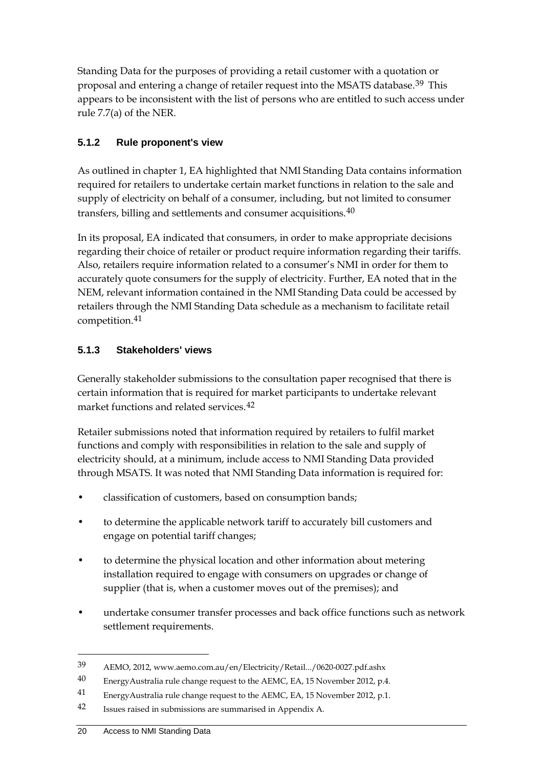Standing Data for the purposes of providing a retail customer with a quotation or proposal and entering a change of retailer request into the MSATS database.[39](#page-25-0) This appears to be inconsistent with the list of persons who are entitled to such access under rule 7.7(a) of the NER.

#### **5.1.2 Rule proponent's view**

As outlined in chapter 1, EA highlighted that NMI Standing Data contains information required for retailers to undertake certain market functions in relation to the sale and supply of electricity on behalf of a consumer, including, but not limited to consumer transfers, billing and settlements and consumer acquisitions.<sup>[40](#page-25-1)</sup>

In its proposal, EA indicated that consumers, in order to make appropriate decisions regarding their choice of retailer or product require information regarding their tariffs. Also, retailers require information related to a consumer's NMI in order for them to accurately quote consumers for the supply of electricity. Further, EA noted that in the NEM, relevant information contained in the NMI Standing Data could be accessed by retailers through the NMI Standing Data schedule as a mechanism to facilitate retail competition.[41](#page-25-2)

#### **5.1.3 Stakeholders' views**

Generally stakeholder submissions to the consultation paper recognised that there is certain information that is required for market participants to undertake relevant market functions and related services.[42](#page-25-3)

Retailer submissions noted that information required by retailers to fulfil market functions and comply with responsibilities in relation to the sale and supply of electricity should, at a minimum, include access to NMI Standing Data provided through MSATS. It was noted that NMI Standing Data information is required for:

- classification of customers, based on consumption bands;
- to determine the applicable network tariff to accurately bill customers and engage on potential tariff changes;
- to determine the physical location and other information about metering installation required to engage with consumers on upgrades or change of supplier (that is, when a customer moves out of the premises); and
- undertake consumer transfer processes and back office functions such as network settlement requirements.

<span id="page-25-0"></span><sup>39</sup> AEMO, 2012, www.aemo.com.au/en/Electricity/Retail.../0620-0027.pdf.ashx

<span id="page-25-1"></span> $40$  EnergyAustralia rule change request to the AEMC, EA, 15 November 2012, p.4.

<span id="page-25-2"></span><sup>41</sup> EnergyAustralia rule change request to the AEMC, EA, 15 November 2012, p.1.

<span id="page-25-3"></span><sup>42</sup> Issues raised in submissions are summarised in Appendix A.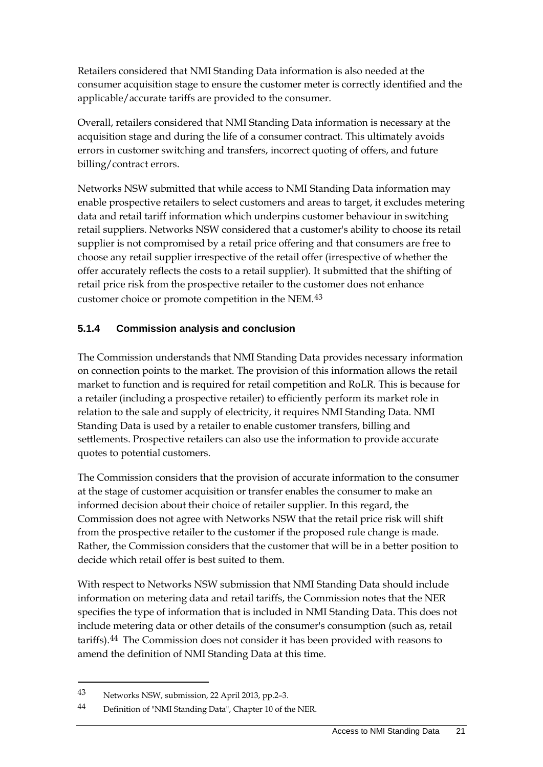Retailers considered that NMI Standing Data information is also needed at the consumer acquisition stage to ensure the customer meter is correctly identified and the applicable/accurate tariffs are provided to the consumer.

Overall, retailers considered that NMI Standing Data information is necessary at the acquisition stage and during the life of a consumer contract. This ultimately avoids errors in customer switching and transfers, incorrect quoting of offers, and future billing/contract errors.

Networks NSW submitted that while access to NMI Standing Data information may enable prospective retailers to select customers and areas to target, it excludes metering data and retail tariff information which underpins customer behaviour in switching retail suppliers. Networks NSW considered that a customer's ability to choose its retail supplier is not compromised by a retail price offering and that consumers are free to choose any retail supplier irrespective of the retail offer (irrespective of whether the offer accurately reflects the costs to a retail supplier). It submitted that the shifting of retail price risk from the prospective retailer to the customer does not enhance customer choice or promote competition in the NEM.[43](#page-26-0)

#### **5.1.4 Commission analysis and conclusion**

The Commission understands that NMI Standing Data provides necessary information on connection points to the market. The provision of this information allows the retail market to function and is required for retail competition and RoLR. This is because for a retailer (including a prospective retailer) to efficiently perform its market role in relation to the sale and supply of electricity, it requires NMI Standing Data. NMI Standing Data is used by a retailer to enable customer transfers, billing and settlements. Prospective retailers can also use the information to provide accurate quotes to potential customers.

The Commission considers that the provision of accurate information to the consumer at the stage of customer acquisition or transfer enables the consumer to make an informed decision about their choice of retailer supplier. In this regard, the Commission does not agree with Networks NSW that the retail price risk will shift from the prospective retailer to the customer if the proposed rule change is made. Rather, the Commission considers that the customer that will be in a better position to decide which retail offer is best suited to them.

With respect to Networks NSW submission that NMI Standing Data should include information on metering data and retail tariffs, the Commission notes that the NER specifies the type of information that is included in NMI Standing Data. This does not include metering data or other details of the consumer's consumption (such as, retail tariffs).[44](#page-26-1) The Commission does not consider it has been provided with reasons to amend the definition of NMI Standing Data at this time.

<span id="page-26-0"></span><sup>43</sup> Networks NSW, submission, 22 April 2013, pp.2–3.

<span id="page-26-1"></span><sup>44</sup> Definition of "NMI Standing Data", Chapter 10 of the NER.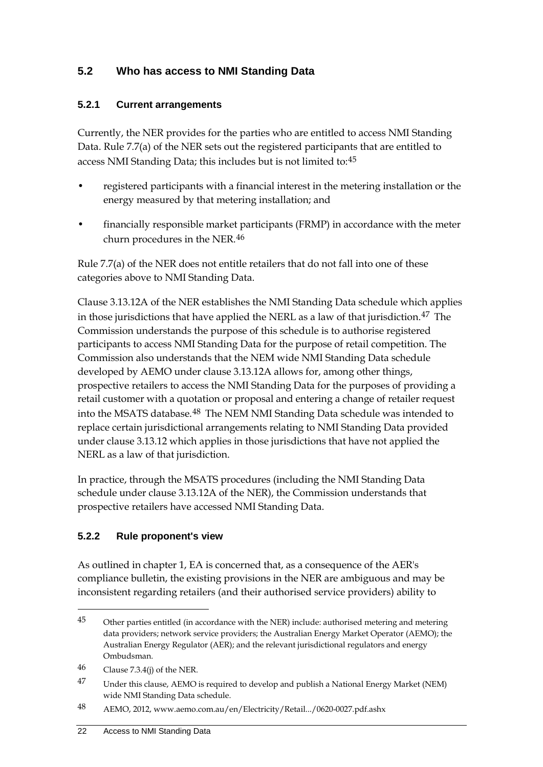### <span id="page-27-0"></span>**5.2 Who has access to NMI Standing Data**

#### **5.2.1 Current arrangements**

Currently, the NER provides for the parties who are entitled to access NMI Standing Data. Rule 7.7(a) of the NER sets out the registered participants that are entitled to access NMI Standing Data; this includes but is not limited to:[45](#page-27-1)

- registered participants with a financial interest in the metering installation or the energy measured by that metering installation; and
- financially responsible market participants (FRMP) in accordance with the meter churn procedures in the NER.[46](#page-27-2)

Rule 7.7(a) of the NER does not entitle retailers that do not fall into one of these categories above to NMI Standing Data.

Clause 3.13.12A of the NER establishes the NMI Standing Data schedule which applies in those jurisdictions that have applied the NERL as a law of that jurisdiction.<sup>[47](#page-27-3)</sup> The Commission understands the purpose of this schedule is to authorise registered participants to access NMI Standing Data for the purpose of retail competition. The Commission also understands that the NEM wide NMI Standing Data schedule developed by AEMO under clause 3.13.12A allows for, among other things, prospective retailers to access the NMI Standing Data for the purposes of providing a retail customer with a quotation or proposal and entering a change of retailer request into the MSATS database.[48](#page-27-4) The NEM NMI Standing Data schedule was intended to replace certain jurisdictional arrangements relating to NMI Standing Data provided under clause 3.13.12 which applies in those jurisdictions that have not applied the NERL as a law of that jurisdiction.

In practice, through the MSATS procedures (including the NMI Standing Data schedule under clause 3.13.12A of the NER), the Commission understands that prospective retailers have accessed NMI Standing Data.

#### **5.2.2 Rule proponent's view**

As outlined in chapter 1, EA is concerned that, as a consequence of the AER's compliance bulletin, the existing provisions in the NER are ambiguous and may be inconsistent regarding retailers (and their authorised service providers) ability to

<span id="page-27-1"></span><sup>45</sup> Other parties entitled (in accordance with the NER) include: authorised metering and metering data providers; network service providers; the Australian Energy Market Operator (AEMO); the Australian Energy Regulator (AER); and the relevant jurisdictional regulators and energy Ombudsman.

<span id="page-27-2"></span><sup>46</sup> Clause 7.3.4(j) of the NER.

<span id="page-27-3"></span><sup>&</sup>lt;sup>47</sup> Under this clause, AEMO is required to develop and publish a National Energy Market (NEM) wide NMI Standing Data schedule.

<span id="page-27-4"></span><sup>48</sup> AEMO, 2012, www.aemo.com.au/en/Electricity/Retail.../0620-0027.pdf.ashx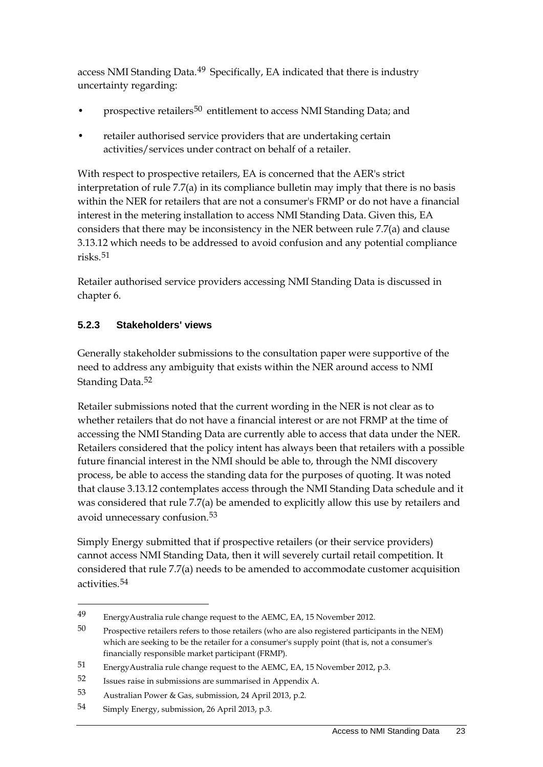access NMI Standing Data.<sup>[49](#page-28-0)</sup> Specifically, EA indicated that there is industry uncertainty regarding:

- prospective retailers<sup>[50](#page-28-1)</sup> entitlement to access NMI Standing Data; and
- retailer authorised service providers that are undertaking certain activities/services under contract on behalf of a retailer.

With respect to prospective retailers, EA is concerned that the AER's strict interpretation of rule 7.7(a) in its compliance bulletin may imply that there is no basis within the NER for retailers that are not a consumer's FRMP or do not have a financial interest in the metering installation to access NMI Standing Data. Given this, EA considers that there may be inconsistency in the NER between rule 7.7(a) and clause 3.13.12 which needs to be addressed to avoid confusion and any potential compliance risks.[51](#page-28-2)

Retailer authorised service providers accessing NMI Standing Data is discussed in chapter 6.

#### **5.2.3 Stakeholders' views**

Generally stakeholder submissions to the consultation paper were supportive of the need to address any ambiguity that exists within the NER around access to NMI Standing Data.<sup>[52](#page-28-3)</sup>

Retailer submissions noted that the current wording in the NER is not clear as to whether retailers that do not have a financial interest or are not FRMP at the time of accessing the NMI Standing Data are currently able to access that data under the NER. Retailers considered that the policy intent has always been that retailers with a possible future financial interest in the NMI should be able to, through the NMI discovery process, be able to access the standing data for the purposes of quoting. It was noted that clause 3.13.12 contemplates access through the NMI Standing Data schedule and it was considered that rule 7.7(a) be amended to explicitly allow this use by retailers and avoid unnecessary confusion.[53](#page-28-4)

Simply Energy submitted that if prospective retailers (or their service providers) cannot access NMI Standing Data, then it will severely curtail retail competition. It considered that rule 7.7(a) needs to be amended to accommodate customer acquisition activities.<sup>[54](#page-28-5)</sup>

<span id="page-28-0"></span><sup>49</sup> EnergyAustralia rule change request to the AEMC, EA, 15 November 2012.

<span id="page-28-1"></span><sup>50</sup> Prospective retailers refers to those retailers (who are also registered participants in the NEM) which are seeking to be the retailer for a consumer's supply point (that is, not a consumer's financially responsible market participant (FRMP).

<span id="page-28-2"></span><sup>51</sup> EnergyAustralia rule change request to the AEMC, EA, 15 November 2012, p.3.

<span id="page-28-3"></span><sup>52</sup> Issues raise in submissions are summarised in Appendix A.

<span id="page-28-4"></span><sup>53</sup> Australian Power & Gas, submission, 24 April 2013, p.2.

<span id="page-28-5"></span><sup>54</sup> Simply Energy, submission, 26 April 2013, p.3.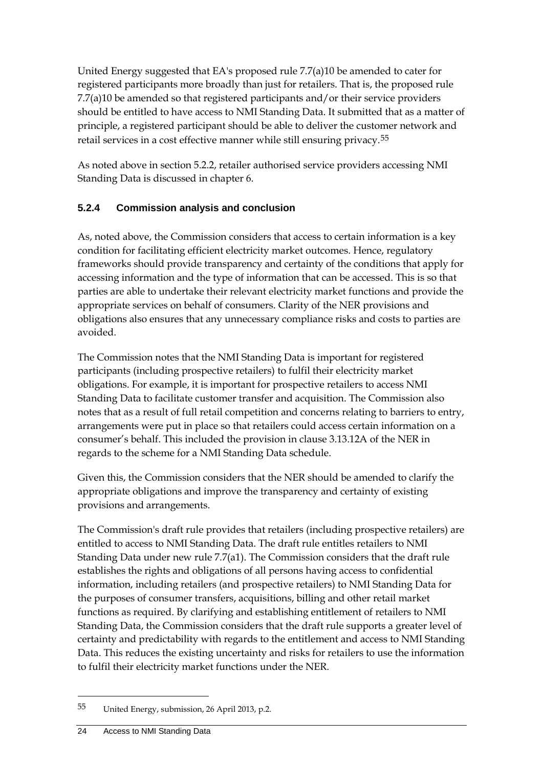United Energy suggested that EA's proposed rule 7.7(a)10 be amended to cater for registered participants more broadly than just for retailers. That is, the proposed rule 7.7(a)10 be amended so that registered participants and/or their service providers should be entitled to have access to NMI Standing Data. It submitted that as a matter of principle, a registered participant should be able to deliver the customer network and retail services in a cost effective manner while still ensuring privacy.[55](#page-29-0)

As noted above in section 5.2.2, retailer authorised service providers accessing NMI Standing Data is discussed in chapter 6.

#### **5.2.4 Commission analysis and conclusion**

As, noted above, the Commission considers that access to certain information is a key condition for facilitating efficient electricity market outcomes. Hence, regulatory frameworks should provide transparency and certainty of the conditions that apply for accessing information and the type of information that can be accessed. This is so that parties are able to undertake their relevant electricity market functions and provide the appropriate services on behalf of consumers. Clarity of the NER provisions and obligations also ensures that any unnecessary compliance risks and costs to parties are avoided.

The Commission notes that the NMI Standing Data is important for registered participants (including prospective retailers) to fulfil their electricity market obligations. For example, it is important for prospective retailers to access NMI Standing Data to facilitate customer transfer and acquisition. The Commission also notes that as a result of full retail competition and concerns relating to barriers to entry, arrangements were put in place so that retailers could access certain information on a consumer's behalf. This included the provision in clause 3.13.12A of the NER in regards to the scheme for a NMI Standing Data schedule.

Given this, the Commission considers that the NER should be amended to clarify the appropriate obligations and improve the transparency and certainty of existing provisions and arrangements.

The Commission's draft rule provides that retailers (including prospective retailers) are entitled to access to NMI Standing Data. The draft rule entitles retailers to NMI Standing Data under new rule 7.7(a1). The Commission considers that the draft rule establishes the rights and obligations of all persons having access to confidential information, including retailers (and prospective retailers) to NMI Standing Data for the purposes of consumer transfers, acquisitions, billing and other retail market functions as required. By clarifying and establishing entitlement of retailers to NMI Standing Data, the Commission considers that the draft rule supports a greater level of certainty and predictability with regards to the entitlement and access to NMI Standing Data. This reduces the existing uncertainty and risks for retailers to use the information to fulfil their electricity market functions under the NER.

<span id="page-29-0"></span><sup>55</sup> United Energy, submission, 26 April 2013, p.2.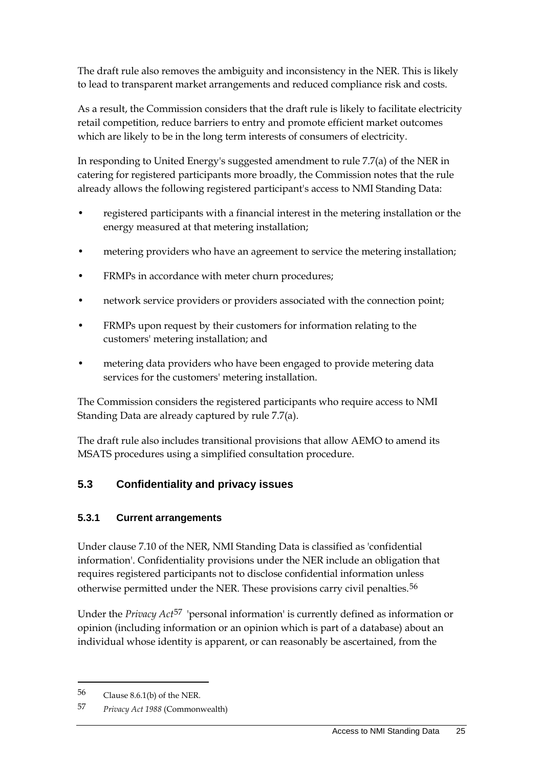The draft rule also removes the ambiguity and inconsistency in the NER. This is likely to lead to transparent market arrangements and reduced compliance risk and costs.

As a result, the Commission considers that the draft rule is likely to facilitate electricity retail competition, reduce barriers to entry and promote efficient market outcomes which are likely to be in the long term interests of consumers of electricity.

In responding to United Energy's suggested amendment to rule 7.7(a) of the NER in catering for registered participants more broadly, the Commission notes that the rule already allows the following registered participant's access to NMI Standing Data:

- registered participants with a financial interest in the metering installation or the energy measured at that metering installation;
- metering providers who have an agreement to service the metering installation;
- FRMPs in accordance with meter churn procedures;
- network service providers or providers associated with the connection point;
- FRMPs upon request by their customers for information relating to the customers' metering installation; and
- metering data providers who have been engaged to provide metering data services for the customers' metering installation.

The Commission considers the registered participants who require access to NMI Standing Data are already captured by rule 7.7(a).

The draft rule also includes transitional provisions that allow AEMO to amend its MSATS procedures using a simplified consultation procedure.

### <span id="page-30-0"></span>**5.3 Confidentiality and privacy issues**

#### **5.3.1 Current arrangements**

Under clause 7.10 of the NER, NMI Standing Data is classified as 'confidential information'. Confidentiality provisions under the NER include an obligation that requires registered participants not to disclose confidential information unless otherwise permitted under the NER. These provisions carry civil penalties.<sup>[56](#page-30-1)</sup>

Under the *Privacy Act*[57](#page-30-2) 'personal information' is currently defined as information or opinion (including information or an opinion which is part of a database) about an individual whose identity is apparent, or can reasonably be ascertained, from the

<span id="page-30-1"></span><sup>56</sup> Clause 8.6.1(b) of the NER.

<span id="page-30-2"></span><sup>57</sup> *Privacy Act 1988* (Commonwealth)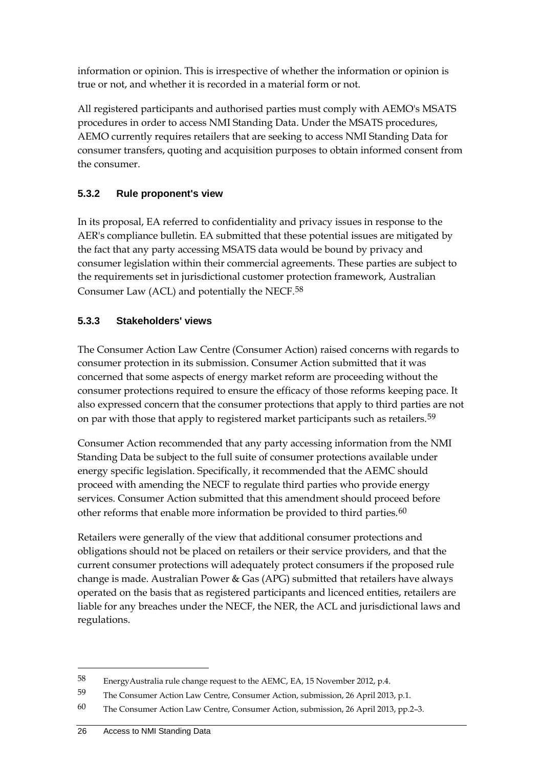information or opinion. This is irrespective of whether the information or opinion is true or not, and whether it is recorded in a material form or not.

All registered participants and authorised parties must comply with AEMO's MSATS procedures in order to access NMI Standing Data. Under the MSATS procedures, AEMO currently requires retailers that are seeking to access NMI Standing Data for consumer transfers, quoting and acquisition purposes to obtain informed consent from the consumer.

#### **5.3.2 Rule proponent's view**

In its proposal, EA referred to confidentiality and privacy issues in response to the AER's compliance bulletin. EA submitted that these potential issues are mitigated by the fact that any party accessing MSATS data would be bound by privacy and consumer legislation within their commercial agreements. These parties are subject to the requirements set in jurisdictional customer protection framework, Australian Consumer Law (ACL) and potentially the NECF.[58](#page-31-0)

#### **5.3.3 Stakeholders' views**

The Consumer Action Law Centre (Consumer Action) raised concerns with regards to consumer protection in its submission. Consumer Action submitted that it was concerned that some aspects of energy market reform are proceeding without the consumer protections required to ensure the efficacy of those reforms keeping pace. It also expressed concern that the consumer protections that apply to third parties are not on par with those that apply to registered market participants such as retailers.<sup>[59](#page-31-1)</sup>

Consumer Action recommended that any party accessing information from the NMI Standing Data be subject to the full suite of consumer protections available under energy specific legislation. Specifically, it recommended that the AEMC should proceed with amending the NECF to regulate third parties who provide energy services. Consumer Action submitted that this amendment should proceed before other reforms that enable more information be provided to third parties. $60$ 

Retailers were generally of the view that additional consumer protections and obligations should not be placed on retailers or their service providers, and that the current consumer protections will adequately protect consumers if the proposed rule change is made. Australian Power & Gas (APG) submitted that retailers have always operated on the basis that as registered participants and licenced entities, retailers are liable for any breaches under the NECF, the NER, the ACL and jurisdictional laws and regulations.

<span id="page-31-0"></span><sup>58</sup> EnergyAustralia rule change request to the AEMC, EA, 15 November 2012, p.4.

<span id="page-31-1"></span><sup>59</sup> The Consumer Action Law Centre, Consumer Action, submission, 26 April 2013, p.1.

<span id="page-31-2"></span><sup>60</sup> The Consumer Action Law Centre, Consumer Action, submission, 26 April 2013, pp.2–3.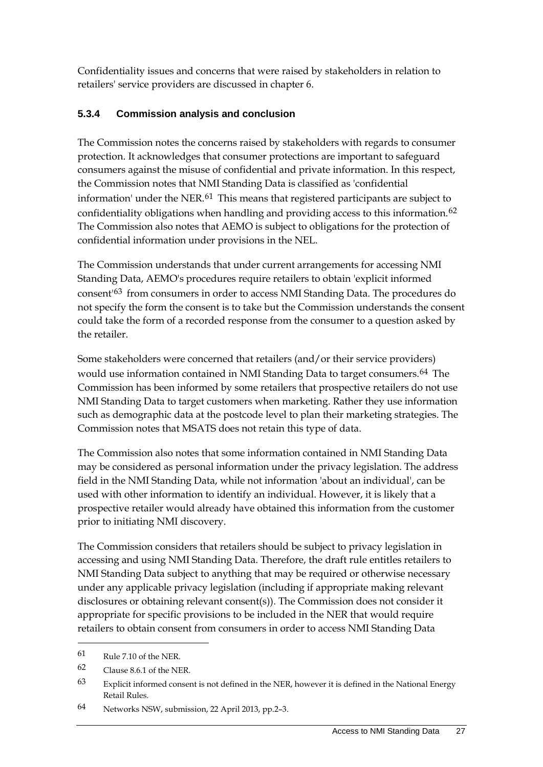Confidentiality issues and concerns that were raised by stakeholders in relation to retailers' service providers are discussed in chapter 6.

#### **5.3.4 Commission analysis and conclusion**

The Commission notes the concerns raised by stakeholders with regards to consumer protection. It acknowledges that consumer protections are important to safeguard consumers against the misuse of confidential and private information. In this respect, the Commission notes that NMI Standing Data is classified as 'confidential information' under the NER.[61](#page-32-0) This means that registered participants are subject to confidentiality obligations when handling and providing access to this information.<sup>[62](#page-32-1)</sup> The Commission also notes that AEMO is subject to obligations for the protection of confidential information under provisions in the NEL.

The Commission understands that under current arrangements for accessing NMI Standing Data, AEMO's procedures require retailers to obtain 'explicit informed consent'[63](#page-32-2) from consumers in order to access NMI Standing Data. The procedures do not specify the form the consent is to take but the Commission understands the consent could take the form of a recorded response from the consumer to a question asked by the retailer.

Some stakeholders were concerned that retailers (and/or their service providers) would use information contained in NMI Standing Data to target consumers.<sup>[64](#page-32-3)</sup> The Commission has been informed by some retailers that prospective retailers do not use NMI Standing Data to target customers when marketing. Rather they use information such as demographic data at the postcode level to plan their marketing strategies. The Commission notes that MSATS does not retain this type of data.

The Commission also notes that some information contained in NMI Standing Data may be considered as personal information under the privacy legislation. The address field in the NMI Standing Data, while not information 'about an individual', can be used with other information to identify an individual. However, it is likely that a prospective retailer would already have obtained this information from the customer prior to initiating NMI discovery.

The Commission considers that retailers should be subject to privacy legislation in accessing and using NMI Standing Data. Therefore, the draft rule entitles retailers to NMI Standing Data subject to anything that may be required or otherwise necessary under any applicable privacy legislation (including if appropriate making relevant disclosures or obtaining relevant consent(s)). The Commission does not consider it appropriate for specific provisions to be included in the NER that would require retailers to obtain consent from consumers in order to access NMI Standing Data

<u>.</u>

<span id="page-32-0"></span><sup>61</sup> Rule 7.10 of the NER.

<span id="page-32-1"></span><sup>62</sup> Clause 8.6.1 of the NER.

<span id="page-32-2"></span><sup>63</sup> Explicit informed consent is not defined in the NER, however it is defined in the National Energy Retail Rules.

<span id="page-32-3"></span><sup>64</sup> Networks NSW, submission, 22 April 2013, pp.2–3.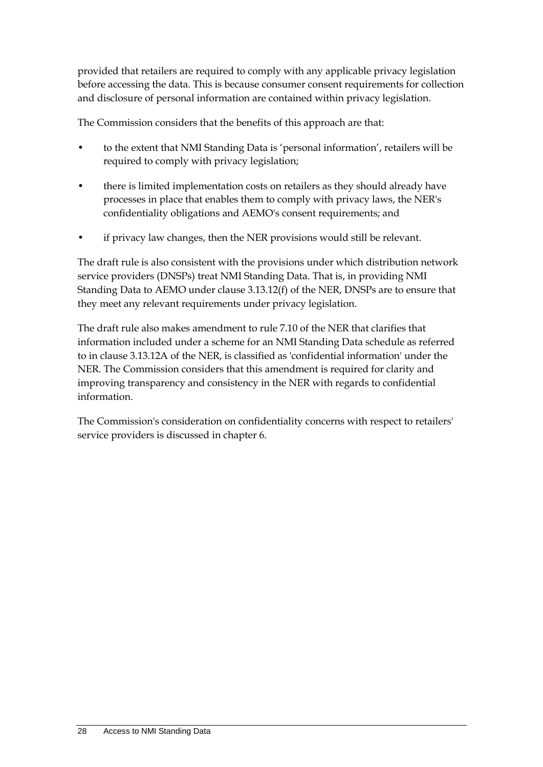provided that retailers are required to comply with any applicable privacy legislation before accessing the data. This is because consumer consent requirements for collection and disclosure of personal information are contained within privacy legislation.

The Commission considers that the benefits of this approach are that:

- to the extent that NMI Standing Data is 'personal information', retailers will be required to comply with privacy legislation;
- there is limited implementation costs on retailers as they should already have processes in place that enables them to comply with privacy laws, the NER's confidentiality obligations and AEMO's consent requirements; and
- if privacy law changes, then the NER provisions would still be relevant.

The draft rule is also consistent with the provisions under which distribution network service providers (DNSPs) treat NMI Standing Data. That is, in providing NMI Standing Data to AEMO under clause 3.13.12(f) of the NER, DNSPs are to ensure that they meet any relevant requirements under privacy legislation.

The draft rule also makes amendment to rule 7.10 of the NER that clarifies that information included under a scheme for an NMI Standing Data schedule as referred to in clause 3.13.12A of the NER, is classified as 'confidential information' under the NER. The Commission considers that this amendment is required for clarity and improving transparency and consistency in the NER with regards to confidential information.

The Commission's consideration on confidentiality concerns with respect to retailers' service providers is discussed in chapter 6.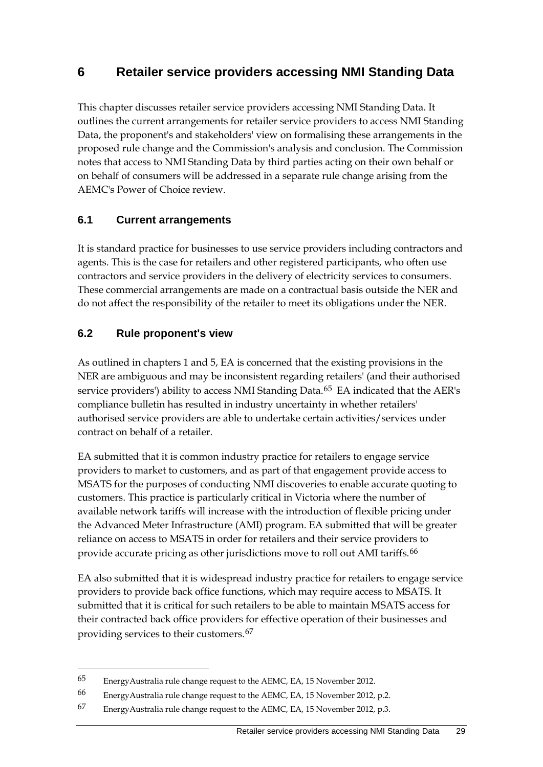### <span id="page-34-0"></span>**6 Retailer service providers accessing NMI Standing Data**

This chapter discusses retailer service providers accessing NMI Standing Data. It outlines the current arrangements for retailer service providers to access NMI Standing Data, the proponent's and stakeholders' view on formalising these arrangements in the proposed rule change and the Commission's analysis and conclusion. The Commission notes that access to NMI Standing Data by third parties acting on their own behalf or on behalf of consumers will be addressed in a separate rule change arising from the AEMC's Power of Choice review.

#### <span id="page-34-1"></span>**6.1 Current arrangements**

It is standard practice for businesses to use service providers including contractors and agents. This is the case for retailers and other registered participants, who often use contractors and service providers in the delivery of electricity services to consumers. These commercial arrangements are made on a contractual basis outside the NER and do not affect the responsibility of the retailer to meet its obligations under the NER.

#### <span id="page-34-2"></span>**6.2 Rule proponent's view**

-

As outlined in chapters 1 and 5, EA is concerned that the existing provisions in the NER are ambiguous and may be inconsistent regarding retailers' (and their authorised service providers') ability to access NMI Standing Data.<sup>[65](#page-34-3)</sup> EA indicated that the AER's compliance bulletin has resulted in industry uncertainty in whether retailers' authorised service providers are able to undertake certain activities/services under contract on behalf of a retailer.

EA submitted that it is common industry practice for retailers to engage service providers to market to customers, and as part of that engagement provide access to MSATS for the purposes of conducting NMI discoveries to enable accurate quoting to customers. This practice is particularly critical in Victoria where the number of available network tariffs will increase with the introduction of flexible pricing under the Advanced Meter Infrastructure (AMI) program. EA submitted that will be greater reliance on access to MSATS in order for retailers and their service providers to provide accurate pricing as other jurisdictions move to roll out AMI tariffs.<sup>[66](#page-34-4)</sup>

EA also submitted that it is widespread industry practice for retailers to engage service providers to provide back office functions, which may require access to MSATS. It submitted that it is critical for such retailers to be able to maintain MSATS access for their contracted back office providers for effective operation of their businesses and providing services to their customers.[67](#page-34-5)

<span id="page-34-3"></span><sup>65</sup> EnergyAustralia rule change request to the AEMC, EA, 15 November 2012.

<span id="page-34-4"></span><sup>66</sup> EnergyAustralia rule change request to the AEMC, EA, 15 November 2012, p.2.

<span id="page-34-5"></span><sup>67</sup> EnergyAustralia rule change request to the AEMC, EA, 15 November 2012, p.3.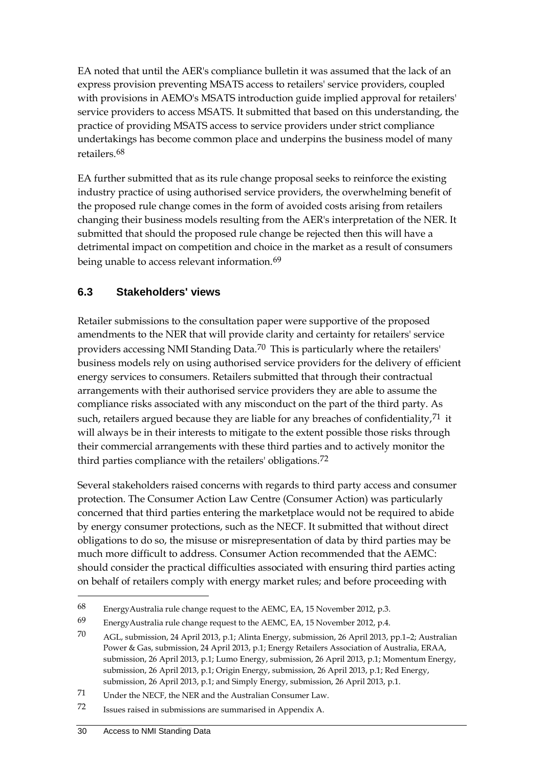EA noted that until the AER's compliance bulletin it was assumed that the lack of an express provision preventing MSATS access to retailers' service providers, coupled with provisions in AEMO's MSATS introduction guide implied approval for retailers' service providers to access MSATS. It submitted that based on this understanding, the practice of providing MSATS access to service providers under strict compliance undertakings has become common place and underpins the business model of many retailers.[68](#page-35-1)

EA further submitted that as its rule change proposal seeks to reinforce the existing industry practice of using authorised service providers, the overwhelming benefit of the proposed rule change comes in the form of avoided costs arising from retailers changing their business models resulting from the AER's interpretation of the NER. It submitted that should the proposed rule change be rejected then this will have a detrimental impact on competition and choice in the market as a result of consumers being unable to access relevant information.<sup>[69](#page-35-2)</sup>

#### <span id="page-35-0"></span>**6.3 Stakeholders' views**

Retailer submissions to the consultation paper were supportive of the proposed amendments to the NER that will provide clarity and certainty for retailers' service providers accessing NMI Standing Data.<sup>[70](#page-35-3)</sup> This is particularly where the retailers' business models rely on using authorised service providers for the delivery of efficient energy services to consumers. Retailers submitted that through their contractual arrangements with their authorised service providers they are able to assume the compliance risks associated with any misconduct on the part of the third party. As such, retailers argued because they are liable for any breaches of confidentiality,  $71$  it will always be in their interests to mitigate to the extent possible those risks through their commercial arrangements with these third parties and to actively monitor the third parties compliance with the retailers' obligations.[72](#page-35-5)

Several stakeholders raised concerns with regards to third party access and consumer protection. The Consumer Action Law Centre (Consumer Action) was particularly concerned that third parties entering the marketplace would not be required to abide by energy consumer protections, such as the NECF. It submitted that without direct obligations to do so, the misuse or misrepresentation of data by third parties may be much more difficult to address. Consumer Action recommended that the AEMC: should consider the practical difficulties associated with ensuring third parties acting on behalf of retailers comply with energy market rules; and before proceeding with

<span id="page-35-1"></span><sup>68</sup> EnergyAustralia rule change request to the AEMC, EA, 15 November 2012, p.3.

<span id="page-35-2"></span><sup>69</sup> EnergyAustralia rule change request to the AEMC, EA, 15 November 2012, p.4.

<span id="page-35-3"></span><sup>70</sup> AGL, submission, 24 April 2013, p.1; Alinta Energy, submission, 26 April 2013, pp.1–2; Australian Power & Gas, submission, 24 April 2013, p.1; Energy Retailers Association of Australia, ERAA, submission, 26 April 2013, p.1; Lumo Energy, submission, 26 April 2013, p.1; Momentum Energy, submission, 26 April 2013, p.1; Origin Energy, submission, 26 April 2013, p.1; Red Energy, submission, 26 April 2013, p.1; and Simply Energy, submission, 26 April 2013, p.1.

<span id="page-35-4"></span><sup>71</sup> Under the NECF, the NER and the Australian Consumer Law.

<span id="page-35-5"></span><sup>72</sup> Issues raised in submissions are summarised in Appendix A.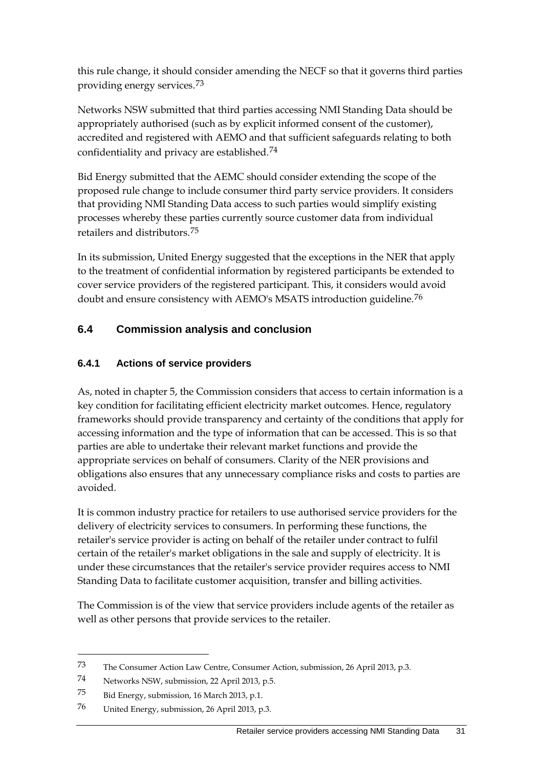this rule change, it should consider amending the NECF so that it governs third parties providing energy services.[73](#page-36-1)

Networks NSW submitted that third parties accessing NMI Standing Data should be appropriately authorised (such as by explicit informed consent of the customer), accredited and registered with AEMO and that sufficient safeguards relating to both confidentiality and privacy are established.<sup>[74](#page-36-2)</sup>

Bid Energy submitted that the AEMC should consider extending the scope of the proposed rule change to include consumer third party service providers. It considers that providing NMI Standing Data access to such parties would simplify existing processes whereby these parties currently source customer data from individual retailers and distributors.[75](#page-36-3)

In its submission, United Energy suggested that the exceptions in the NER that apply to the treatment of confidential information by registered participants be extended to cover service providers of the registered participant. This, it considers would avoid doubt and ensure consistency with AEMO's MSATS introduction guideline.[76](#page-36-4)

### <span id="page-36-0"></span>**6.4 Commission analysis and conclusion**

#### **6.4.1 Actions of service providers**

As, noted in chapter 5, the Commission considers that access to certain information is a key condition for facilitating efficient electricity market outcomes. Hence, regulatory frameworks should provide transparency and certainty of the conditions that apply for accessing information and the type of information that can be accessed. This is so that parties are able to undertake their relevant market functions and provide the appropriate services on behalf of consumers. Clarity of the NER provisions and obligations also ensures that any unnecessary compliance risks and costs to parties are avoided.

It is common industry practice for retailers to use authorised service providers for the delivery of electricity services to consumers. In performing these functions, the retailer's service provider is acting on behalf of the retailer under contract to fulfil certain of the retailer's market obligations in the sale and supply of electricity. It is under these circumstances that the retailer's service provider requires access to NMI Standing Data to facilitate customer acquisition, transfer and billing activities.

The Commission is of the view that service providers include agents of the retailer as well as other persons that provide services to the retailer.

<span id="page-36-1"></span><sup>73</sup> The Consumer Action Law Centre, Consumer Action, submission, 26 April 2013, p.3.

<span id="page-36-2"></span><sup>74</sup> Networks NSW, submission, 22 April 2013, p.5.

<span id="page-36-3"></span><sup>75</sup> Bid Energy, submission, 16 March 2013, p.1.

<span id="page-36-4"></span><sup>76</sup> United Energy, submission, 26 April 2013, p.3.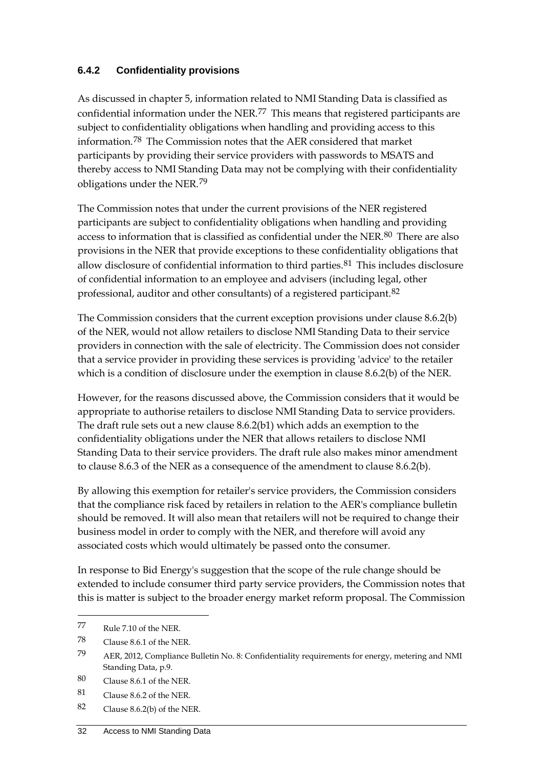#### **6.4.2 Confidentiality provisions**

As discussed in chapter 5, information related to NMI Standing Data is classified as confidential information under the NER.[77](#page-37-0) This means that registered participants are subject to confidentiality obligations when handling and providing access to this information.[78](#page-37-1) The Commission notes that the AER considered that market participants by providing their service providers with passwords to MSATS and thereby access to NMI Standing Data may not be complying with their confidentiality obligations under the NER.[79](#page-37-2)

The Commission notes that under the current provisions of the NER registered participants are subject to confidentiality obligations when handling and providing access to information that is classified as confidential under the NER.[80](#page-37-3) There are also provisions in the NER that provide exceptions to these confidentiality obligations that allow disclosure of confidential information to third parties.<sup>[81](#page-37-4)</sup> This includes disclosure of confidential information to an employee and advisers (including legal, other professional, auditor and other consultants) of a registered participant.[82](#page-37-5)

The Commission considers that the current exception provisions under clause 8.6.2(b) of the NER, would not allow retailers to disclose NMI Standing Data to their service providers in connection with the sale of electricity. The Commission does not consider that a service provider in providing these services is providing 'advice' to the retailer which is a condition of disclosure under the exemption in clause 8.6.2(b) of the NER.

However, for the reasons discussed above, the Commission considers that it would be appropriate to authorise retailers to disclose NMI Standing Data to service providers. The draft rule sets out a new clause 8.6.2(b1) which adds an exemption to the confidentiality obligations under the NER that allows retailers to disclose NMI Standing Data to their service providers. The draft rule also makes minor amendment to clause 8.6.3 of the NER as a consequence of the amendment to clause 8.6.2(b).

By allowing this exemption for retailer's service providers, the Commission considers that the compliance risk faced by retailers in relation to the AER's compliance bulletin should be removed. It will also mean that retailers will not be required to change their business model in order to comply with the NER, and therefore will avoid any associated costs which would ultimately be passed onto the consumer.

In response to Bid Energy's suggestion that the scope of the rule change should be extended to include consumer third party service providers, the Commission notes that this is matter is subject to the broader energy market reform proposal. The Commission

<span id="page-37-0"></span><sup>77</sup> Rule 7.10 of the NER.

<span id="page-37-1"></span><sup>78</sup> Clause 8.6.1 of the NER.

<span id="page-37-2"></span><sup>79</sup> AER, 2012, Compliance Bulletin No. 8: Confidentiality requirements for energy, metering and NMI Standing Data, p.9.

<span id="page-37-3"></span><sup>80</sup> Clause 8.6.1 of the NER.

<span id="page-37-4"></span><sup>81</sup> Clause 8.6.2 of the NER.

<span id="page-37-5"></span><sup>82</sup> Clause 8.6.2(b) of the NER.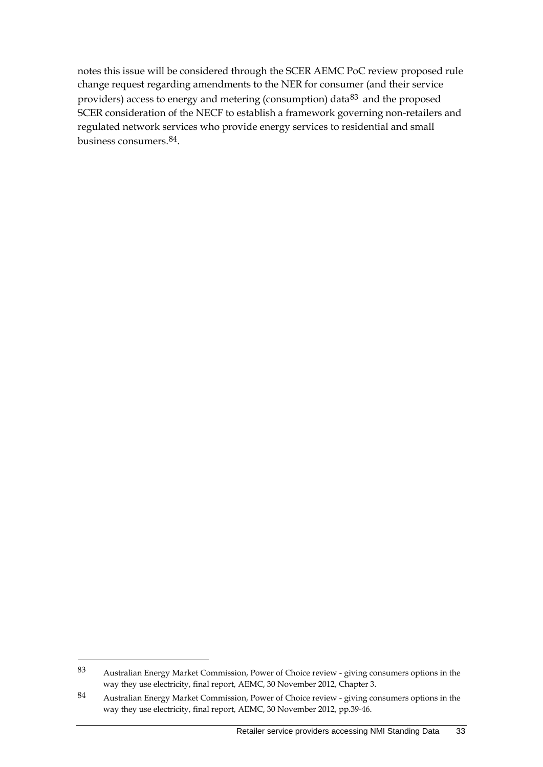notes this issue will be considered through the SCER AEMC PoC review proposed rule change request regarding amendments to the NER for consumer (and their service providers) access to energy and metering (consumption) data<sup>[83](#page-38-0)</sup> and the proposed SCER consideration of the NECF to establish a framework governing non-retailers and regulated network services who provide energy services to residential and small business consumers.[84](#page-38-1).

<span id="page-38-0"></span><sup>83</sup> Australian Energy Market Commission, Power of Choice review - giving consumers options in the way they use electricity, final report, AEMC, 30 November 2012, Chapter 3.

<span id="page-38-1"></span><sup>84</sup> Australian Energy Market Commission, Power of Choice review - giving consumers options in the way they use electricity, final report, AEMC, 30 November 2012, pp.39-46.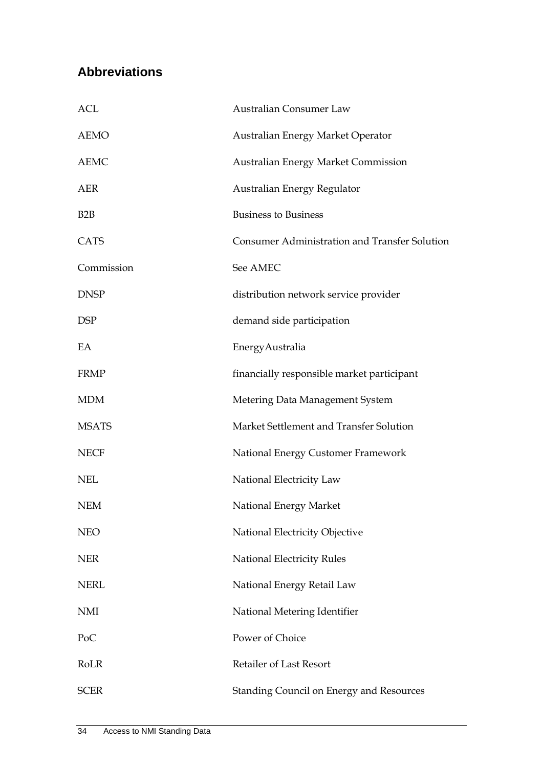## <span id="page-39-0"></span>**Abbreviations**

| ACL              | <b>Australian Consumer Law</b>                       |
|------------------|------------------------------------------------------|
| <b>AEMO</b>      | Australian Energy Market Operator                    |
| <b>AEMC</b>      | <b>Australian Energy Market Commission</b>           |
| <b>AER</b>       | Australian Energy Regulator                          |
| B <sub>2</sub> B | <b>Business to Business</b>                          |
| <b>CATS</b>      | <b>Consumer Administration and Transfer Solution</b> |
| Commission       | See AMEC                                             |
| <b>DNSP</b>      | distribution network service provider                |
| <b>DSP</b>       | demand side participation                            |
| EA               | EnergyAustralia                                      |
| <b>FRMP</b>      | financially responsible market participant           |
| <b>MDM</b>       | Metering Data Management System                      |
| <b>MSATS</b>     | Market Settlement and Transfer Solution              |
| <b>NECF</b>      | National Energy Customer Framework                   |
| <b>NEL</b>       | National Electricity Law                             |
| NEM              | National Energy Market                               |
| <b>NEO</b>       | National Electricity Objective                       |
| <b>NER</b>       | National Electricity Rules                           |
| <b>NERL</b>      | National Energy Retail Law                           |
| <b>NMI</b>       | National Metering Identifier                         |
| PoC              | Power of Choice                                      |
| RoLR             | <b>Retailer of Last Resort</b>                       |
| <b>SCER</b>      | Standing Council on Energy and Resources             |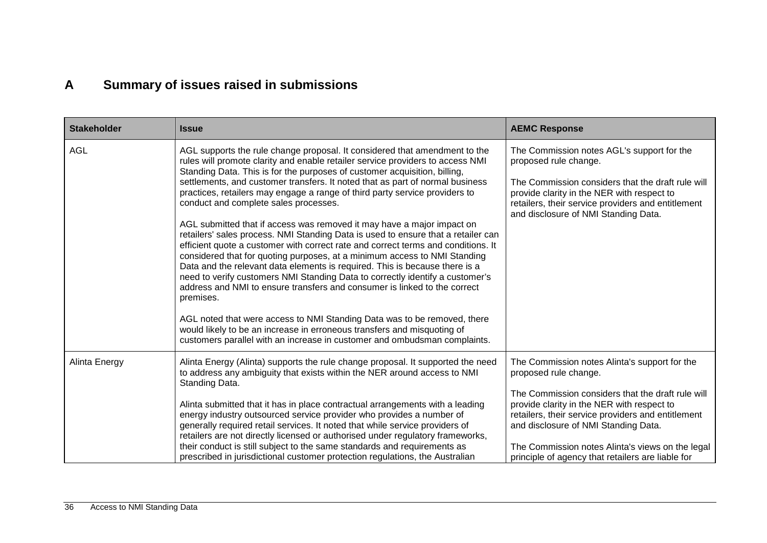# **A Summary of issues raised in submissions**

<span id="page-41-0"></span>

| <b>Stakeholder</b> | <b>Issue</b>                                                                                                                                                                                                                                                                                                                                                                                                                                                                                                                                                                                                                                                                                                                                                                                                                                                                                                                                                                                                                                                                                                              | <b>AEMC Response</b>                                                                                                                                                                                                                                                 |
|--------------------|---------------------------------------------------------------------------------------------------------------------------------------------------------------------------------------------------------------------------------------------------------------------------------------------------------------------------------------------------------------------------------------------------------------------------------------------------------------------------------------------------------------------------------------------------------------------------------------------------------------------------------------------------------------------------------------------------------------------------------------------------------------------------------------------------------------------------------------------------------------------------------------------------------------------------------------------------------------------------------------------------------------------------------------------------------------------------------------------------------------------------|----------------------------------------------------------------------------------------------------------------------------------------------------------------------------------------------------------------------------------------------------------------------|
| <b>AGL</b>         | AGL supports the rule change proposal. It considered that amendment to the<br>rules will promote clarity and enable retailer service providers to access NMI<br>Standing Data. This is for the purposes of customer acquisition, billing,<br>settlements, and customer transfers. It noted that as part of normal business<br>practices, retailers may engage a range of third party service providers to<br>conduct and complete sales processes.<br>AGL submitted that if access was removed it may have a major impact on<br>retailers' sales process. NMI Standing Data is used to ensure that a retailer can<br>efficient quote a customer with correct rate and correct terms and conditions. It<br>considered that for quoting purposes, at a minimum access to NMI Standing<br>Data and the relevant data elements is required. This is because there is a<br>need to verify customers NMI Standing Data to correctly identify a customer's<br>address and NMI to ensure transfers and consumer is linked to the correct<br>premises.<br>AGL noted that were access to NMI Standing Data was to be removed, there | The Commission notes AGL's support for the<br>proposed rule change.<br>The Commission considers that the draft rule will<br>provide clarity in the NER with respect to<br>retailers, their service providers and entitlement<br>and disclosure of NMI Standing Data. |
|                    | would likely to be an increase in erroneous transfers and misquoting of<br>customers parallel with an increase in customer and ombudsman complaints.                                                                                                                                                                                                                                                                                                                                                                                                                                                                                                                                                                                                                                                                                                                                                                                                                                                                                                                                                                      |                                                                                                                                                                                                                                                                      |
| Alinta Energy      | Alinta Energy (Alinta) supports the rule change proposal. It supported the need<br>to address any ambiguity that exists within the NER around access to NMI<br>Standing Data.                                                                                                                                                                                                                                                                                                                                                                                                                                                                                                                                                                                                                                                                                                                                                                                                                                                                                                                                             | The Commission notes Alinta's support for the<br>proposed rule change.<br>The Commission considers that the draft rule will                                                                                                                                          |
|                    | Alinta submitted that it has in place contractual arrangements with a leading<br>energy industry outsourced service provider who provides a number of<br>generally required retail services. It noted that while service providers of<br>retailers are not directly licensed or authorised under regulatory frameworks,<br>their conduct is still subject to the same standards and requirements as<br>prescribed in jurisdictional customer protection regulations, the Australian                                                                                                                                                                                                                                                                                                                                                                                                                                                                                                                                                                                                                                       | provide clarity in the NER with respect to<br>retailers, their service providers and entitlement<br>and disclosure of NMI Standing Data.<br>The Commission notes Alinta's views on the legal<br>principle of agency that retailers are liable for                    |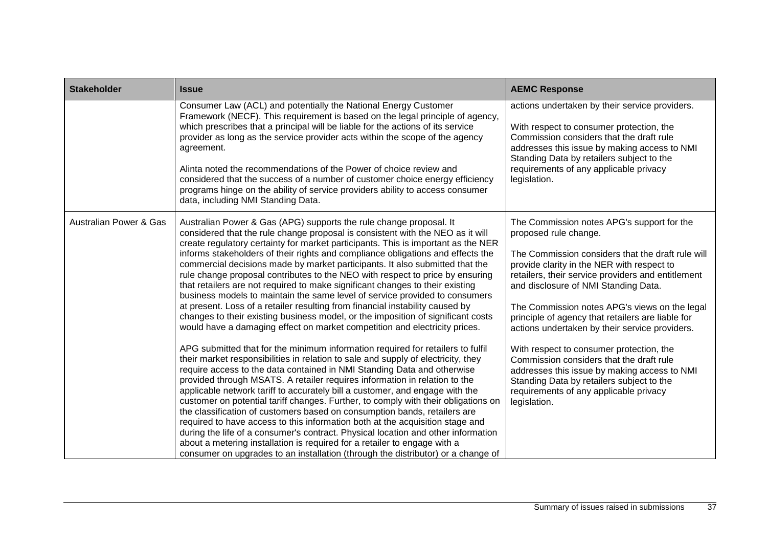| <b>Stakeholder</b>                | <b>Issue</b>                                                                                                                                                                                                                                                                                                                                                                                                                                                                                                                                                                                                                                                                                                                                                                                                                                                                                                                                                                                                                                                                                                                                                                                                                                                                                                                                                                                                                                                                                                                                                                                                                                                                                                                                                                                                                                | <b>AEMC Response</b>                                                                                                                                                                                                                                                                                                                                                                                                                                                                                                                                                                                                                                                        |
|-----------------------------------|---------------------------------------------------------------------------------------------------------------------------------------------------------------------------------------------------------------------------------------------------------------------------------------------------------------------------------------------------------------------------------------------------------------------------------------------------------------------------------------------------------------------------------------------------------------------------------------------------------------------------------------------------------------------------------------------------------------------------------------------------------------------------------------------------------------------------------------------------------------------------------------------------------------------------------------------------------------------------------------------------------------------------------------------------------------------------------------------------------------------------------------------------------------------------------------------------------------------------------------------------------------------------------------------------------------------------------------------------------------------------------------------------------------------------------------------------------------------------------------------------------------------------------------------------------------------------------------------------------------------------------------------------------------------------------------------------------------------------------------------------------------------------------------------------------------------------------------------|-----------------------------------------------------------------------------------------------------------------------------------------------------------------------------------------------------------------------------------------------------------------------------------------------------------------------------------------------------------------------------------------------------------------------------------------------------------------------------------------------------------------------------------------------------------------------------------------------------------------------------------------------------------------------------|
|                                   | Consumer Law (ACL) and potentially the National Energy Customer<br>Framework (NECF). This requirement is based on the legal principle of agency,<br>which prescribes that a principal will be liable for the actions of its service<br>provider as long as the service provider acts within the scope of the agency<br>agreement.<br>Alinta noted the recommendations of the Power of choice review and<br>considered that the success of a number of customer choice energy efficiency<br>programs hinge on the ability of service providers ability to access consumer<br>data, including NMI Standing Data.                                                                                                                                                                                                                                                                                                                                                                                                                                                                                                                                                                                                                                                                                                                                                                                                                                                                                                                                                                                                                                                                                                                                                                                                                              | actions undertaken by their service providers.<br>With respect to consumer protection, the<br>Commission considers that the draft rule<br>addresses this issue by making access to NMI<br>Standing Data by retailers subject to the<br>requirements of any applicable privacy<br>legislation.                                                                                                                                                                                                                                                                                                                                                                               |
| <b>Australian Power &amp; Gas</b> | Australian Power & Gas (APG) supports the rule change proposal. It<br>considered that the rule change proposal is consistent with the NEO as it will<br>create regulatory certainty for market participants. This is important as the NER<br>informs stakeholders of their rights and compliance obligations and effects the<br>commercial decisions made by market participants. It also submitted that the<br>rule change proposal contributes to the NEO with respect to price by ensuring<br>that retailers are not required to make significant changes to their existing<br>business models to maintain the same level of service provided to consumers<br>at present. Loss of a retailer resulting from financial instability caused by<br>changes to their existing business model, or the imposition of significant costs<br>would have a damaging effect on market competition and electricity prices.<br>APG submitted that for the minimum information required for retailers to fulfil<br>their market responsibilities in relation to sale and supply of electricity, they<br>require access to the data contained in NMI Standing Data and otherwise<br>provided through MSATS. A retailer requires information in relation to the<br>applicable network tariff to accurately bill a customer, and engage with the<br>customer on potential tariff changes. Further, to comply with their obligations on<br>the classification of customers based on consumption bands, retailers are<br>required to have access to this information both at the acquisition stage and<br>during the life of a consumer's contract. Physical location and other information<br>about a metering installation is required for a retailer to engage with a<br>consumer on upgrades to an installation (through the distributor) or a change of | The Commission notes APG's support for the<br>proposed rule change.<br>The Commission considers that the draft rule will<br>provide clarity in the NER with respect to<br>retailers, their service providers and entitlement<br>and disclosure of NMI Standing Data.<br>The Commission notes APG's views on the legal<br>principle of agency that retailers are liable for<br>actions undertaken by their service providers.<br>With respect to consumer protection, the<br>Commission considers that the draft rule<br>addresses this issue by making access to NMI<br>Standing Data by retailers subject to the<br>requirements of any applicable privacy<br>legislation. |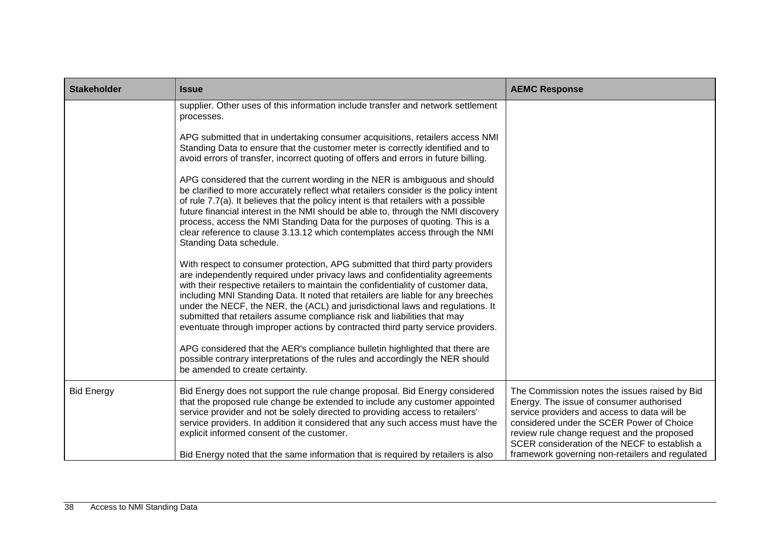| <b>Stakeholder</b> | <b>Issue</b>                                                                                                                                                                                                                                                                                                                                                                                                                                                                                                                                                                                                                                                            | <b>AEMC Response</b>                                                                                                                                                                                                                                                                                                                      |
|--------------------|-------------------------------------------------------------------------------------------------------------------------------------------------------------------------------------------------------------------------------------------------------------------------------------------------------------------------------------------------------------------------------------------------------------------------------------------------------------------------------------------------------------------------------------------------------------------------------------------------------------------------------------------------------------------------|-------------------------------------------------------------------------------------------------------------------------------------------------------------------------------------------------------------------------------------------------------------------------------------------------------------------------------------------|
|                    | supplier. Other uses of this information include transfer and network settlement<br>processes.                                                                                                                                                                                                                                                                                                                                                                                                                                                                                                                                                                          |                                                                                                                                                                                                                                                                                                                                           |
|                    | APG submitted that in undertaking consumer acquisitions, retailers access NMI<br>Standing Data to ensure that the customer meter is correctly identified and to<br>avoid errors of transfer, incorrect quoting of offers and errors in future billing.                                                                                                                                                                                                                                                                                                                                                                                                                  |                                                                                                                                                                                                                                                                                                                                           |
|                    | APG considered that the current wording in the NER is ambiguous and should<br>be clarified to more accurately reflect what retailers consider is the policy intent<br>of rule 7.7(a). It believes that the policy intent is that retailers with a possible<br>future financial interest in the NMI should be able to, through the NMI discovery<br>process, access the NMI Standing Data for the purposes of quoting. This is a<br>clear reference to clause 3.13.12 which contemplates access through the NMI<br>Standing Data schedule.                                                                                                                               |                                                                                                                                                                                                                                                                                                                                           |
|                    | With respect to consumer protection, APG submitted that third party providers<br>are independently required under privacy laws and confidentiality agreements<br>with their respective retailers to maintain the confidentiality of customer data,<br>including MNI Standing Data. It noted that retailers are liable for any breeches<br>under the NECF, the NER, the (ACL) and jurisdictional laws and regulations. It<br>submitted that retailers assume compliance risk and liabilities that may<br>eventuate through improper actions by contracted third party service providers.<br>APG considered that the AER's compliance bulletin highlighted that there are |                                                                                                                                                                                                                                                                                                                                           |
|                    | possible contrary interpretations of the rules and accordingly the NER should<br>be amended to create certainty.                                                                                                                                                                                                                                                                                                                                                                                                                                                                                                                                                        |                                                                                                                                                                                                                                                                                                                                           |
| <b>Bid Energy</b>  | Bid Energy does not support the rule change proposal. Bid Energy considered<br>that the proposed rule change be extended to include any customer appointed<br>service provider and not be solely directed to providing access to retailers'<br>service providers. In addition it considered that any such access must have the<br>explicit informed consent of the customer.<br>Bid Energy noted that the same information that is required by retailers is also                                                                                                                                                                                                        | The Commission notes the issues raised by Bid<br>Energy. The issue of consumer authorised<br>service providers and access to data will be<br>considered under the SCER Power of Choice<br>review rule change request and the proposed<br>SCER consideration of the NECF to establish a<br>framework governing non-retailers and regulated |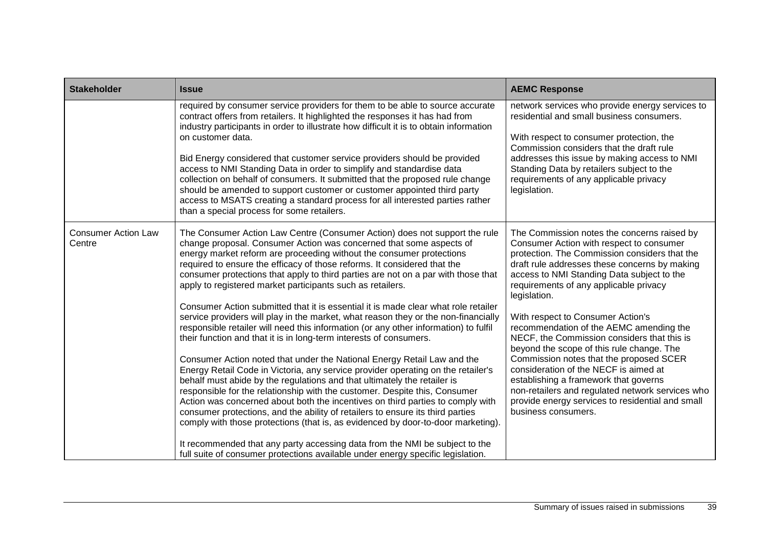| <b>Stakeholder</b>                   | <b>Issue</b>                                                                                                                                                                                                                                                                                                                                                                                                                                                                                                                                                                                                                                                                                                                                                                                                                                                                                                                                                                                                                                                                                                                                                                                                                                                                                                                                                                                                                                                                                                                                          | <b>AEMC Response</b>                                                                                                                                                                                                                                                                                                                                                                                                                                                                                                                                                                                                                                                                                                                      |
|--------------------------------------|-------------------------------------------------------------------------------------------------------------------------------------------------------------------------------------------------------------------------------------------------------------------------------------------------------------------------------------------------------------------------------------------------------------------------------------------------------------------------------------------------------------------------------------------------------------------------------------------------------------------------------------------------------------------------------------------------------------------------------------------------------------------------------------------------------------------------------------------------------------------------------------------------------------------------------------------------------------------------------------------------------------------------------------------------------------------------------------------------------------------------------------------------------------------------------------------------------------------------------------------------------------------------------------------------------------------------------------------------------------------------------------------------------------------------------------------------------------------------------------------------------------------------------------------------------|-------------------------------------------------------------------------------------------------------------------------------------------------------------------------------------------------------------------------------------------------------------------------------------------------------------------------------------------------------------------------------------------------------------------------------------------------------------------------------------------------------------------------------------------------------------------------------------------------------------------------------------------------------------------------------------------------------------------------------------------|
|                                      | required by consumer service providers for them to be able to source accurate<br>contract offers from retailers. It highlighted the responses it has had from<br>industry participants in order to illustrate how difficult it is to obtain information<br>on customer data.<br>Bid Energy considered that customer service providers should be provided<br>access to NMI Standing Data in order to simplify and standardise data<br>collection on behalf of consumers. It submitted that the proposed rule change<br>should be amended to support customer or customer appointed third party<br>access to MSATS creating a standard process for all interested parties rather<br>than a special process for some retailers.                                                                                                                                                                                                                                                                                                                                                                                                                                                                                                                                                                                                                                                                                                                                                                                                                          | network services who provide energy services to<br>residential and small business consumers.<br>With respect to consumer protection, the<br>Commission considers that the draft rule<br>addresses this issue by making access to NMI<br>Standing Data by retailers subject to the<br>requirements of any applicable privacy<br>legislation.                                                                                                                                                                                                                                                                                                                                                                                               |
| <b>Consumer Action Law</b><br>Centre | The Consumer Action Law Centre (Consumer Action) does not support the rule<br>change proposal. Consumer Action was concerned that some aspects of<br>energy market reform are proceeding without the consumer protections<br>required to ensure the efficacy of those reforms. It considered that the<br>consumer protections that apply to third parties are not on a par with those that<br>apply to registered market participants such as retailers.<br>Consumer Action submitted that it is essential it is made clear what role retailer<br>service providers will play in the market, what reason they or the non-financially<br>responsible retailer will need this information (or any other information) to fulfil<br>their function and that it is in long-term interests of consumers.<br>Consumer Action noted that under the National Energy Retail Law and the<br>Energy Retail Code in Victoria, any service provider operating on the retailer's<br>behalf must abide by the regulations and that ultimately the retailer is<br>responsible for the relationship with the customer. Despite this, Consumer<br>Action was concerned about both the incentives on third parties to comply with<br>consumer protections, and the ability of retailers to ensure its third parties<br>comply with those protections (that is, as evidenced by door-to-door marketing).<br>It recommended that any party accessing data from the NMI be subject to the<br>full suite of consumer protections available under energy specific legislation. | The Commission notes the concerns raised by<br>Consumer Action with respect to consumer<br>protection. The Commission considers that the<br>draft rule addresses these concerns by making<br>access to NMI Standing Data subject to the<br>requirements of any applicable privacy<br>legislation.<br>With respect to Consumer Action's<br>recommendation of the AEMC amending the<br>NECF, the Commission considers that this is<br>beyond the scope of this rule change. The<br>Commission notes that the proposed SCER<br>consideration of the NECF is aimed at<br>establishing a framework that governs<br>non-retailers and regulated network services who<br>provide energy services to residential and small<br>business consumers. |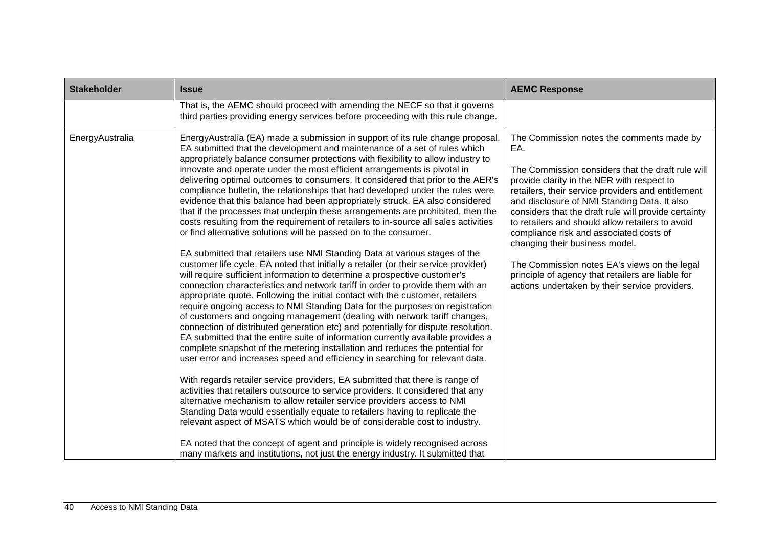| <b>Stakeholder</b> | <b>Issue</b>                                                                                                                                                                                                                                                                                                                                                                                                                                                                                                                                                                                                                                                                                                                                                                                                                                                                                                                                                                                                                                                                                                                                                                                                                                                                                                                                                                                                                                                                                                                                                                                                                                                                                                                                                                                                                                                                                                                                                                                                                                                                                                                                                                                                                                                                                                                            | <b>AEMC Response</b>                                                                                                                                                                                                                                                                                                                                                                                                                                                                                                                                                                                      |
|--------------------|-----------------------------------------------------------------------------------------------------------------------------------------------------------------------------------------------------------------------------------------------------------------------------------------------------------------------------------------------------------------------------------------------------------------------------------------------------------------------------------------------------------------------------------------------------------------------------------------------------------------------------------------------------------------------------------------------------------------------------------------------------------------------------------------------------------------------------------------------------------------------------------------------------------------------------------------------------------------------------------------------------------------------------------------------------------------------------------------------------------------------------------------------------------------------------------------------------------------------------------------------------------------------------------------------------------------------------------------------------------------------------------------------------------------------------------------------------------------------------------------------------------------------------------------------------------------------------------------------------------------------------------------------------------------------------------------------------------------------------------------------------------------------------------------------------------------------------------------------------------------------------------------------------------------------------------------------------------------------------------------------------------------------------------------------------------------------------------------------------------------------------------------------------------------------------------------------------------------------------------------------------------------------------------------------------------------------------------------|-----------------------------------------------------------------------------------------------------------------------------------------------------------------------------------------------------------------------------------------------------------------------------------------------------------------------------------------------------------------------------------------------------------------------------------------------------------------------------------------------------------------------------------------------------------------------------------------------------------|
|                    | That is, the AEMC should proceed with amending the NECF so that it governs<br>third parties providing energy services before proceeding with this rule change.                                                                                                                                                                                                                                                                                                                                                                                                                                                                                                                                                                                                                                                                                                                                                                                                                                                                                                                                                                                                                                                                                                                                                                                                                                                                                                                                                                                                                                                                                                                                                                                                                                                                                                                                                                                                                                                                                                                                                                                                                                                                                                                                                                          |                                                                                                                                                                                                                                                                                                                                                                                                                                                                                                                                                                                                           |
| EnergyAustralia    | EnergyAustralia (EA) made a submission in support of its rule change proposal.<br>EA submitted that the development and maintenance of a set of rules which<br>appropriately balance consumer protections with flexibility to allow industry to<br>innovate and operate under the most efficient arrangements is pivotal in<br>delivering optimal outcomes to consumers. It considered that prior to the AER's<br>compliance bulletin, the relationships that had developed under the rules were<br>evidence that this balance had been appropriately struck. EA also considered<br>that if the processes that underpin these arrangements are prohibited, then the<br>costs resulting from the requirement of retailers to in-source all sales activities<br>or find alternative solutions will be passed on to the consumer.<br>EA submitted that retailers use NMI Standing Data at various stages of the<br>customer life cycle. EA noted that initially a retailer (or their service provider)<br>will require sufficient information to determine a prospective customer's<br>connection characteristics and network tariff in order to provide them with an<br>appropriate quote. Following the initial contact with the customer, retailers<br>require ongoing access to NMI Standing Data for the purposes on registration<br>of customers and ongoing management (dealing with network tariff changes,<br>connection of distributed generation etc) and potentially for dispute resolution.<br>EA submitted that the entire suite of information currently available provides a<br>complete snapshot of the metering installation and reduces the potential for<br>user error and increases speed and efficiency in searching for relevant data.<br>With regards retailer service providers, EA submitted that there is range of<br>activities that retailers outsource to service providers. It considered that any<br>alternative mechanism to allow retailer service providers access to NMI<br>Standing Data would essentially equate to retailers having to replicate the<br>relevant aspect of MSATS which would be of considerable cost to industry.<br>EA noted that the concept of agent and principle is widely recognised across<br>many markets and institutions, not just the energy industry. It submitted that | The Commission notes the comments made by<br>EA.<br>The Commission considers that the draft rule will<br>provide clarity in the NER with respect to<br>retailers, their service providers and entitlement<br>and disclosure of NMI Standing Data. It also<br>considers that the draft rule will provide certainty<br>to retailers and should allow retailers to avoid<br>compliance risk and associated costs of<br>changing their business model.<br>The Commission notes EA's views on the legal<br>principle of agency that retailers are liable for<br>actions undertaken by their service providers. |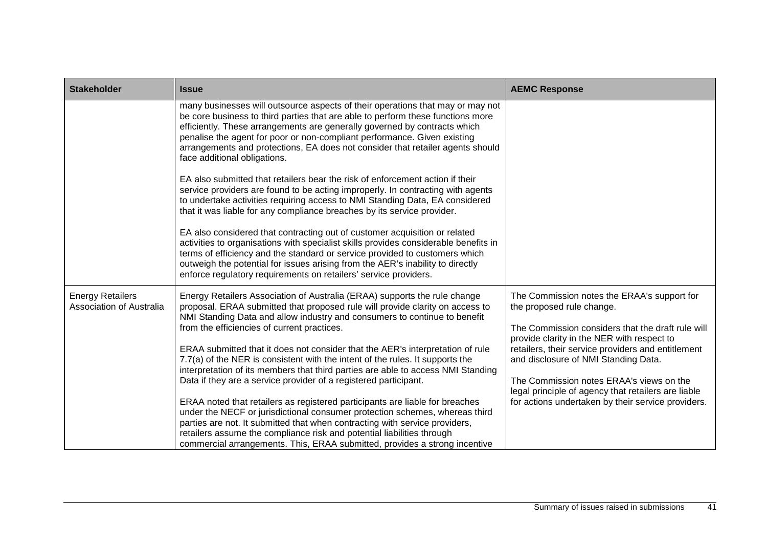| <b>Stakeholder</b>                                         | <b>Issue</b>                                                                                                                                                                                                                                                                                                                                                                                                                                 | <b>AEMC Response</b>                                                                                                                                                                          |
|------------------------------------------------------------|----------------------------------------------------------------------------------------------------------------------------------------------------------------------------------------------------------------------------------------------------------------------------------------------------------------------------------------------------------------------------------------------------------------------------------------------|-----------------------------------------------------------------------------------------------------------------------------------------------------------------------------------------------|
|                                                            | many businesses will outsource aspects of their operations that may or may not<br>be core business to third parties that are able to perform these functions more<br>efficiently. These arrangements are generally governed by contracts which<br>penalise the agent for poor or non-compliant performance. Given existing<br>arrangements and protections, EA does not consider that retailer agents should<br>face additional obligations. |                                                                                                                                                                                               |
|                                                            | EA also submitted that retailers bear the risk of enforcement action if their<br>service providers are found to be acting improperly. In contracting with agents<br>to undertake activities requiring access to NMI Standing Data, EA considered<br>that it was liable for any compliance breaches by its service provider.                                                                                                                  |                                                                                                                                                                                               |
|                                                            | EA also considered that contracting out of customer acquisition or related<br>activities to organisations with specialist skills provides considerable benefits in<br>terms of efficiency and the standard or service provided to customers which<br>outweigh the potential for issues arising from the AER's inability to directly<br>enforce regulatory requirements on retailers' service providers.                                      |                                                                                                                                                                                               |
| <b>Energy Retailers</b><br><b>Association of Australia</b> | Energy Retailers Association of Australia (ERAA) supports the rule change<br>proposal. ERAA submitted that proposed rule will provide clarity on access to<br>NMI Standing Data and allow industry and consumers to continue to benefit<br>from the efficiencies of current practices.                                                                                                                                                       | The Commission notes the ERAA's support for<br>the proposed rule change.<br>The Commission considers that the draft rule will<br>provide clarity in the NER with respect to                   |
|                                                            | ERAA submitted that it does not consider that the AER's interpretation of rule<br>7.7(a) of the NER is consistent with the intent of the rules. It supports the<br>interpretation of its members that third parties are able to access NMI Standing<br>Data if they are a service provider of a registered participant.                                                                                                                      | retailers, their service providers and entitlement<br>and disclosure of NMI Standing Data.<br>The Commission notes ERAA's views on the<br>legal principle of agency that retailers are liable |
|                                                            | ERAA noted that retailers as registered participants are liable for breaches<br>under the NECF or jurisdictional consumer protection schemes, whereas third<br>parties are not. It submitted that when contracting with service providers,<br>retailers assume the compliance risk and potential liabilities through<br>commercial arrangements. This, ERAA submitted, provides a strong incentive                                           | for actions undertaken by their service providers.                                                                                                                                            |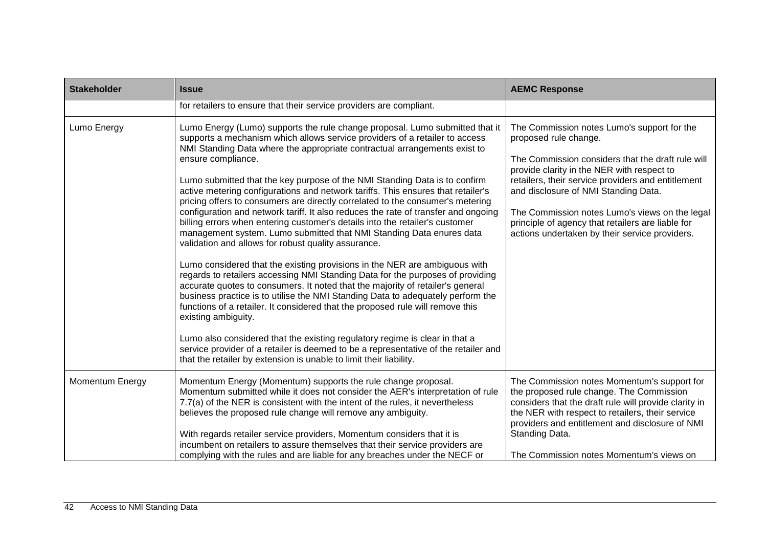| <b>Stakeholder</b> | <b>Issue</b>                                                                                                                                                                                                                                                                                                                                                                                                                                                                                                                                                                                                                                                                                                                                                                                                                                                                                                                                                                                                                                                                                                                                                                                                                                                                                                                                                                                                                                                                                                      | <b>AEMC Response</b>                                                                                                                                                                                                                                                                                                                                                                                                           |
|--------------------|-------------------------------------------------------------------------------------------------------------------------------------------------------------------------------------------------------------------------------------------------------------------------------------------------------------------------------------------------------------------------------------------------------------------------------------------------------------------------------------------------------------------------------------------------------------------------------------------------------------------------------------------------------------------------------------------------------------------------------------------------------------------------------------------------------------------------------------------------------------------------------------------------------------------------------------------------------------------------------------------------------------------------------------------------------------------------------------------------------------------------------------------------------------------------------------------------------------------------------------------------------------------------------------------------------------------------------------------------------------------------------------------------------------------------------------------------------------------------------------------------------------------|--------------------------------------------------------------------------------------------------------------------------------------------------------------------------------------------------------------------------------------------------------------------------------------------------------------------------------------------------------------------------------------------------------------------------------|
|                    | for retailers to ensure that their service providers are compliant.                                                                                                                                                                                                                                                                                                                                                                                                                                                                                                                                                                                                                                                                                                                                                                                                                                                                                                                                                                                                                                                                                                                                                                                                                                                                                                                                                                                                                                               |                                                                                                                                                                                                                                                                                                                                                                                                                                |
| Lumo Energy        | Lumo Energy (Lumo) supports the rule change proposal. Lumo submitted that it<br>supports a mechanism which allows service providers of a retailer to access<br>NMI Standing Data where the appropriate contractual arrangements exist to<br>ensure compliance.<br>Lumo submitted that the key purpose of the NMI Standing Data is to confirm<br>active metering configurations and network tariffs. This ensures that retailer's<br>pricing offers to consumers are directly correlated to the consumer's metering<br>configuration and network tariff. It also reduces the rate of transfer and ongoing<br>billing errors when entering customer's details into the retailer's customer<br>management system. Lumo submitted that NMI Standing Data enures data<br>validation and allows for robust quality assurance.<br>Lumo considered that the existing provisions in the NER are ambiguous with<br>regards to retailers accessing NMI Standing Data for the purposes of providing<br>accurate quotes to consumers. It noted that the majority of retailer's general<br>business practice is to utilise the NMI Standing Data to adequately perform the<br>functions of a retailer. It considered that the proposed rule will remove this<br>existing ambiguity.<br>Lumo also considered that the existing regulatory regime is clear in that a<br>service provider of a retailer is deemed to be a representative of the retailer and<br>that the retailer by extension is unable to limit their liability. | The Commission notes Lumo's support for the<br>proposed rule change.<br>The Commission considers that the draft rule will<br>provide clarity in the NER with respect to<br>retailers, their service providers and entitlement<br>and disclosure of NMI Standing Data.<br>The Commission notes Lumo's views on the legal<br>principle of agency that retailers are liable for<br>actions undertaken by their service providers. |
| Momentum Energy    | Momentum Energy (Momentum) supports the rule change proposal.<br>Momentum submitted while it does not consider the AER's interpretation of rule<br>7.7(a) of the NER is consistent with the intent of the rules, it nevertheless<br>believes the proposed rule change will remove any ambiguity.<br>With regards retailer service providers, Momentum considers that it is<br>incumbent on retailers to assure themselves that their service providers are<br>complying with the rules and are liable for any breaches under the NECF or                                                                                                                                                                                                                                                                                                                                                                                                                                                                                                                                                                                                                                                                                                                                                                                                                                                                                                                                                                          | The Commission notes Momentum's support for<br>the proposed rule change. The Commission<br>considers that the draft rule will provide clarity in<br>the NER with respect to retailers, their service<br>providers and entitlement and disclosure of NMI<br>Standing Data.<br>The Commission notes Momentum's views on                                                                                                          |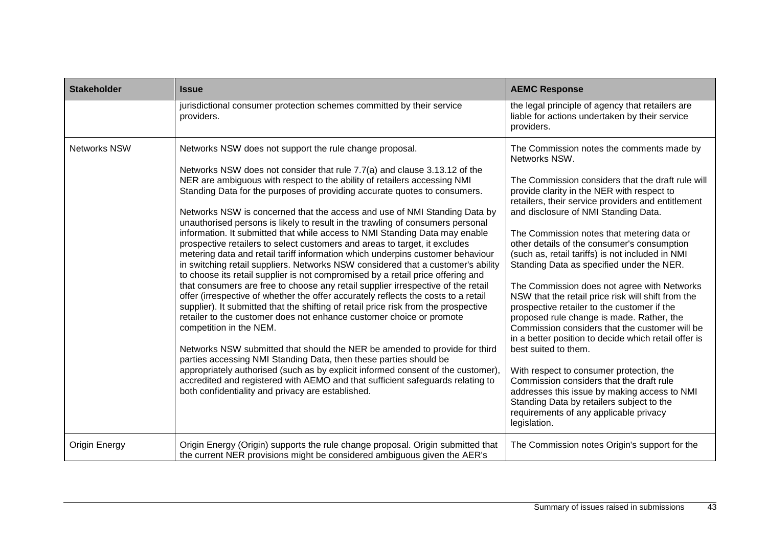| <b>Stakeholder</b>  | <b>Issue</b>                                                                                                                                                                                                                                                                                                                                                                                                                                                                                                                                                                                                                                                                                                                                                                                                                                                                                                                                                                                                                                                                                                                                                                                                                                                                                                                                                                                                                                                                                                                                                                                                                         | <b>AEMC Response</b>                                                                                                                                                                                                                                                                                                                                                                                                                                                                                                                                                                                                                                                                                                                                                                                                                                                                                                                                                                                                                        |
|---------------------|--------------------------------------------------------------------------------------------------------------------------------------------------------------------------------------------------------------------------------------------------------------------------------------------------------------------------------------------------------------------------------------------------------------------------------------------------------------------------------------------------------------------------------------------------------------------------------------------------------------------------------------------------------------------------------------------------------------------------------------------------------------------------------------------------------------------------------------------------------------------------------------------------------------------------------------------------------------------------------------------------------------------------------------------------------------------------------------------------------------------------------------------------------------------------------------------------------------------------------------------------------------------------------------------------------------------------------------------------------------------------------------------------------------------------------------------------------------------------------------------------------------------------------------------------------------------------------------------------------------------------------------|---------------------------------------------------------------------------------------------------------------------------------------------------------------------------------------------------------------------------------------------------------------------------------------------------------------------------------------------------------------------------------------------------------------------------------------------------------------------------------------------------------------------------------------------------------------------------------------------------------------------------------------------------------------------------------------------------------------------------------------------------------------------------------------------------------------------------------------------------------------------------------------------------------------------------------------------------------------------------------------------------------------------------------------------|
|                     | jurisdictional consumer protection schemes committed by their service<br>providers.                                                                                                                                                                                                                                                                                                                                                                                                                                                                                                                                                                                                                                                                                                                                                                                                                                                                                                                                                                                                                                                                                                                                                                                                                                                                                                                                                                                                                                                                                                                                                  | the legal principle of agency that retailers are<br>liable for actions undertaken by their service<br>providers.                                                                                                                                                                                                                                                                                                                                                                                                                                                                                                                                                                                                                                                                                                                                                                                                                                                                                                                            |
| <b>Networks NSW</b> | Networks NSW does not support the rule change proposal.<br>Networks NSW does not consider that rule 7.7(a) and clause 3.13.12 of the<br>NER are ambiguous with respect to the ability of retailers accessing NMI<br>Standing Data for the purposes of providing accurate quotes to consumers.<br>Networks NSW is concerned that the access and use of NMI Standing Data by<br>unauthorised persons is likely to result in the trawling of consumers personal<br>information. It submitted that while access to NMI Standing Data may enable<br>prospective retailers to select customers and areas to target, it excludes<br>metering data and retail tariff information which underpins customer behaviour<br>in switching retail suppliers. Networks NSW considered that a customer's ability<br>to choose its retail supplier is not compromised by a retail price offering and<br>that consumers are free to choose any retail supplier irrespective of the retail<br>offer (irrespective of whether the offer accurately reflects the costs to a retail<br>supplier). It submitted that the shifting of retail price risk from the prospective<br>retailer to the customer does not enhance customer choice or promote<br>competition in the NEM.<br>Networks NSW submitted that should the NER be amended to provide for third<br>parties accessing NMI Standing Data, then these parties should be<br>appropriately authorised (such as by explicit informed consent of the customer),<br>accredited and registered with AEMO and that sufficient safeguards relating to<br>both confidentiality and privacy are established. | The Commission notes the comments made by<br>Networks NSW.<br>The Commission considers that the draft rule will<br>provide clarity in the NER with respect to<br>retailers, their service providers and entitlement<br>and disclosure of NMI Standing Data.<br>The Commission notes that metering data or<br>other details of the consumer's consumption<br>(such as, retail tariffs) is not included in NMI<br>Standing Data as specified under the NER.<br>The Commission does not agree with Networks<br>NSW that the retail price risk will shift from the<br>prospective retailer to the customer if the<br>proposed rule change is made. Rather, the<br>Commission considers that the customer will be<br>in a better position to decide which retail offer is<br>best suited to them.<br>With respect to consumer protection, the<br>Commission considers that the draft rule<br>addresses this issue by making access to NMI<br>Standing Data by retailers subject to the<br>requirements of any applicable privacy<br>legislation. |
| Origin Energy       | Origin Energy (Origin) supports the rule change proposal. Origin submitted that<br>the current NER provisions might be considered ambiguous given the AER's                                                                                                                                                                                                                                                                                                                                                                                                                                                                                                                                                                                                                                                                                                                                                                                                                                                                                                                                                                                                                                                                                                                                                                                                                                                                                                                                                                                                                                                                          | The Commission notes Origin's support for the                                                                                                                                                                                                                                                                                                                                                                                                                                                                                                                                                                                                                                                                                                                                                                                                                                                                                                                                                                                               |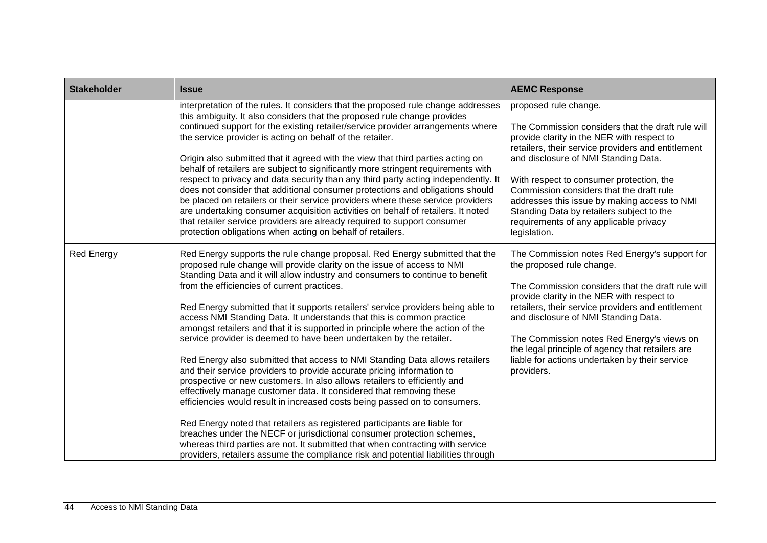| <b>Stakeholder</b> | <b>Issue</b>                                                                                                                                                                                                                                                                                                                                                                                                                                                                                                                                                                                                                                                                                                                                                                                                                                                                                                                                                                                                                                                                                                                                                                                                                                                                                                                           | <b>AEMC Response</b>                                                                                                                                                                                                                                                                                                                                                                                                                                                  |
|--------------------|----------------------------------------------------------------------------------------------------------------------------------------------------------------------------------------------------------------------------------------------------------------------------------------------------------------------------------------------------------------------------------------------------------------------------------------------------------------------------------------------------------------------------------------------------------------------------------------------------------------------------------------------------------------------------------------------------------------------------------------------------------------------------------------------------------------------------------------------------------------------------------------------------------------------------------------------------------------------------------------------------------------------------------------------------------------------------------------------------------------------------------------------------------------------------------------------------------------------------------------------------------------------------------------------------------------------------------------|-----------------------------------------------------------------------------------------------------------------------------------------------------------------------------------------------------------------------------------------------------------------------------------------------------------------------------------------------------------------------------------------------------------------------------------------------------------------------|
|                    | interpretation of the rules. It considers that the proposed rule change addresses<br>this ambiguity. It also considers that the proposed rule change provides<br>continued support for the existing retailer/service provider arrangements where<br>the service provider is acting on behalf of the retailer.<br>Origin also submitted that it agreed with the view that third parties acting on<br>behalf of retailers are subject to significantly more stringent requirements with<br>respect to privacy and data security than any third party acting independently. It<br>does not consider that additional consumer protections and obligations should<br>be placed on retailers or their service providers where these service providers<br>are undertaking consumer acquisition activities on behalf of retailers. It noted<br>that retailer service providers are already required to support consumer<br>protection obligations when acting on behalf of retailers.                                                                                                                                                                                                                                                                                                                                                          | proposed rule change.<br>The Commission considers that the draft rule will<br>provide clarity in the NER with respect to<br>retailers, their service providers and entitlement<br>and disclosure of NMI Standing Data.<br>With respect to consumer protection, the<br>Commission considers that the draft rule<br>addresses this issue by making access to NMI<br>Standing Data by retailers subject to the<br>requirements of any applicable privacy<br>legislation. |
| <b>Red Energy</b>  | Red Energy supports the rule change proposal. Red Energy submitted that the<br>proposed rule change will provide clarity on the issue of access to NMI<br>Standing Data and it will allow industry and consumers to continue to benefit<br>from the efficiencies of current practices.<br>Red Energy submitted that it supports retailers' service providers being able to<br>access NMI Standing Data. It understands that this is common practice<br>amongst retailers and that it is supported in principle where the action of the<br>service provider is deemed to have been undertaken by the retailer.<br>Red Energy also submitted that access to NMI Standing Data allows retailers<br>and their service providers to provide accurate pricing information to<br>prospective or new customers. In also allows retailers to efficiently and<br>effectively manage customer data. It considered that removing these<br>efficiencies would result in increased costs being passed on to consumers.<br>Red Energy noted that retailers as registered participants are liable for<br>breaches under the NECF or jurisdictional consumer protection schemes,<br>whereas third parties are not. It submitted that when contracting with service<br>providers, retailers assume the compliance risk and potential liabilities through | The Commission notes Red Energy's support for<br>the proposed rule change.<br>The Commission considers that the draft rule will<br>provide clarity in the NER with respect to<br>retailers, their service providers and entitlement<br>and disclosure of NMI Standing Data.<br>The Commission notes Red Energy's views on<br>the legal principle of agency that retailers are<br>liable for actions undertaken by their service<br>providers.                         |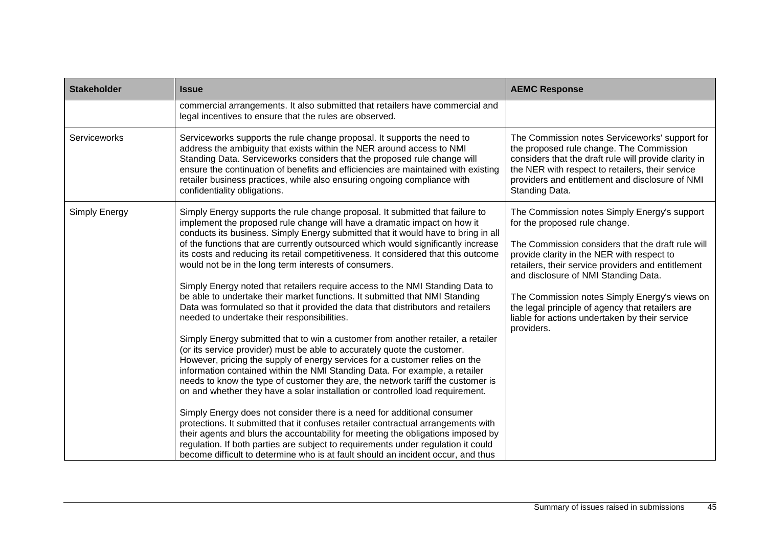| <b>Stakeholder</b> | <b>Issue</b>                                                                                                                                                                                                                                                                                                                                                                                                                                                                                                                                                                                                                                                                                                                                                                                                                                                                                                                                                                                                                                                                                                                                                                                                                                                                                                                                                                                                                                                                                                                                                                                                                                                                                                         | <b>AEMC Response</b>                                                                                                                                                                                                                                                                                                                                                                                                                                |
|--------------------|----------------------------------------------------------------------------------------------------------------------------------------------------------------------------------------------------------------------------------------------------------------------------------------------------------------------------------------------------------------------------------------------------------------------------------------------------------------------------------------------------------------------------------------------------------------------------------------------------------------------------------------------------------------------------------------------------------------------------------------------------------------------------------------------------------------------------------------------------------------------------------------------------------------------------------------------------------------------------------------------------------------------------------------------------------------------------------------------------------------------------------------------------------------------------------------------------------------------------------------------------------------------------------------------------------------------------------------------------------------------------------------------------------------------------------------------------------------------------------------------------------------------------------------------------------------------------------------------------------------------------------------------------------------------------------------------------------------------|-----------------------------------------------------------------------------------------------------------------------------------------------------------------------------------------------------------------------------------------------------------------------------------------------------------------------------------------------------------------------------------------------------------------------------------------------------|
|                    | commercial arrangements. It also submitted that retailers have commercial and<br>legal incentives to ensure that the rules are observed.                                                                                                                                                                                                                                                                                                                                                                                                                                                                                                                                                                                                                                                                                                                                                                                                                                                                                                                                                                                                                                                                                                                                                                                                                                                                                                                                                                                                                                                                                                                                                                             |                                                                                                                                                                                                                                                                                                                                                                                                                                                     |
| Serviceworks       | Serviceworks supports the rule change proposal. It supports the need to<br>address the ambiguity that exists within the NER around access to NMI<br>Standing Data. Serviceworks considers that the proposed rule change will<br>ensure the continuation of benefits and efficiencies are maintained with existing<br>retailer business practices, while also ensuring ongoing compliance with<br>confidentiality obligations.                                                                                                                                                                                                                                                                                                                                                                                                                                                                                                                                                                                                                                                                                                                                                                                                                                                                                                                                                                                                                                                                                                                                                                                                                                                                                        | The Commission notes Serviceworks' support for<br>the proposed rule change. The Commission<br>considers that the draft rule will provide clarity in<br>the NER with respect to retailers, their service<br>providers and entitlement and disclosure of NMI<br>Standing Data.                                                                                                                                                                        |
| Simply Energy      | Simply Energy supports the rule change proposal. It submitted that failure to<br>implement the proposed rule change will have a dramatic impact on how it<br>conducts its business. Simply Energy submitted that it would have to bring in all<br>of the functions that are currently outsourced which would significantly increase<br>its costs and reducing its retail competitiveness. It considered that this outcome<br>would not be in the long term interests of consumers.<br>Simply Energy noted that retailers require access to the NMI Standing Data to<br>be able to undertake their market functions. It submitted that NMI Standing<br>Data was formulated so that it provided the data that distributors and retailers<br>needed to undertake their responsibilities.<br>Simply Energy submitted that to win a customer from another retailer, a retailer<br>(or its service provider) must be able to accurately quote the customer.<br>However, pricing the supply of energy services for a customer relies on the<br>information contained within the NMI Standing Data. For example, a retailer<br>needs to know the type of customer they are, the network tariff the customer is<br>on and whether they have a solar installation or controlled load requirement.<br>Simply Energy does not consider there is a need for additional consumer<br>protections. It submitted that it confuses retailer contractual arrangements with<br>their agents and blurs the accountability for meeting the obligations imposed by<br>regulation. If both parties are subject to requirements under regulation it could<br>become difficult to determine who is at fault should an incident occur, and thus | The Commission notes Simply Energy's support<br>for the proposed rule change.<br>The Commission considers that the draft rule will<br>provide clarity in the NER with respect to<br>retailers, their service providers and entitlement<br>and disclosure of NMI Standing Data.<br>The Commission notes Simply Energy's views on<br>the legal principle of agency that retailers are<br>liable for actions undertaken by their service<br>providers. |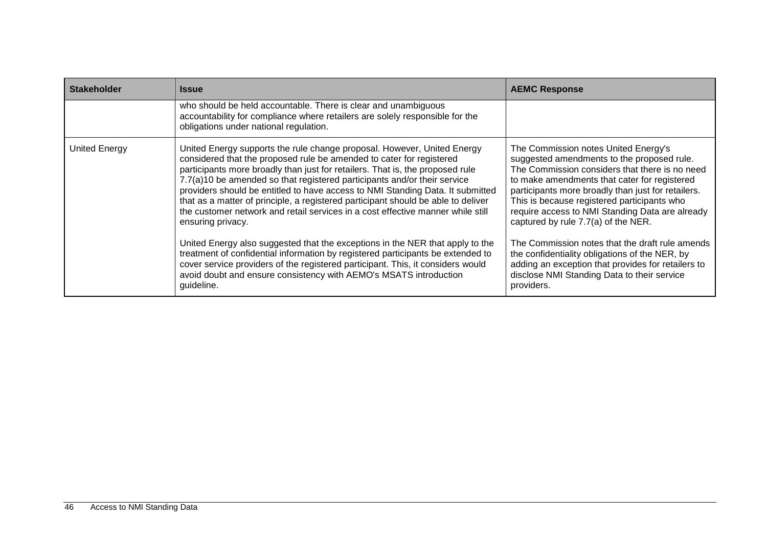| <b>Stakeholder</b> | <b>Issue</b>                                                                                                                                                                                                                                                                                                                                                                                                                                                                                                                                                                                                                                                                                                                                                    | <b>AEMC Response</b>                                                                                                                                                                                                                                                                                                                                                                                                                                                                     |
|--------------------|-----------------------------------------------------------------------------------------------------------------------------------------------------------------------------------------------------------------------------------------------------------------------------------------------------------------------------------------------------------------------------------------------------------------------------------------------------------------------------------------------------------------------------------------------------------------------------------------------------------------------------------------------------------------------------------------------------------------------------------------------------------------|------------------------------------------------------------------------------------------------------------------------------------------------------------------------------------------------------------------------------------------------------------------------------------------------------------------------------------------------------------------------------------------------------------------------------------------------------------------------------------------|
|                    | who should be held accountable. There is clear and unambiguous<br>accountability for compliance where retailers are solely responsible for the<br>obligations under national regulation.                                                                                                                                                                                                                                                                                                                                                                                                                                                                                                                                                                        |                                                                                                                                                                                                                                                                                                                                                                                                                                                                                          |
| United Energy      | United Energy supports the rule change proposal. However, United Energy<br>considered that the proposed rule be amended to cater for registered<br>participants more broadly than just for retailers. That is, the proposed rule<br>7.7(a)10 be amended so that registered participants and/or their service<br>providers should be entitled to have access to NMI Standing Data. It submitted<br>that as a matter of principle, a registered participant should be able to deliver<br>the customer network and retail services in a cost effective manner while still<br>ensuring privacy.<br>United Energy also suggested that the exceptions in the NER that apply to the<br>treatment of confidential information by registered participants be extended to | The Commission notes United Energy's<br>suggested amendments to the proposed rule.<br>The Commission considers that there is no need<br>to make amendments that cater for registered<br>participants more broadly than just for retailers.<br>This is because registered participants who<br>require access to NMI Standing Data are already<br>captured by rule 7.7(a) of the NER.<br>The Commission notes that the draft rule amends<br>the confidentiality obligations of the NER, by |
|                    | cover service providers of the registered participant. This, it considers would<br>avoid doubt and ensure consistency with AEMO's MSATS introduction<br>guideline.                                                                                                                                                                                                                                                                                                                                                                                                                                                                                                                                                                                              | adding an exception that provides for retailers to<br>disclose NMI Standing Data to their service<br>providers.                                                                                                                                                                                                                                                                                                                                                                          |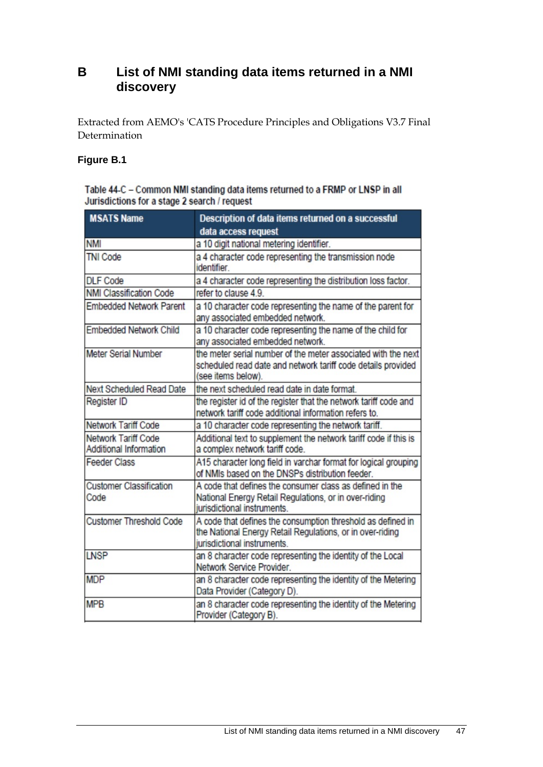### <span id="page-52-0"></span>**B List of NMI standing data items returned in a NMI discovery**

Extracted from AEMO's 'CATS Procedure Principles and Obligations V3.7 Final Determination

#### **Figure B.1**

| Table 44-C - Common NMI standing data items returned to a FRMP or LNSP in all |
|-------------------------------------------------------------------------------|
| Jurisdictions for a stage 2 search / request                                  |

| <b>MSATS Name</b>                             | Description of data items returned on a successful<br>data access request                                                                               |
|-----------------------------------------------|---------------------------------------------------------------------------------------------------------------------------------------------------------|
| <b>NMI</b>                                    | a 10 digit national metering identifier.                                                                                                                |
| <b>TNI Code</b>                               | a 4 character code representing the transmission node<br>identifier.                                                                                    |
| <b>DLF Code</b>                               | a 4 character code representing the distribution loss factor.                                                                                           |
| <b>NMI Classification Code</b>                | refer to clause 4.9.                                                                                                                                    |
| <b>Embedded Network Parent</b>                | a 10 character code representing the name of the parent for<br>any associated embedded network.                                                         |
| <b>Embedded Network Child</b>                 | a 10 character code representing the name of the child for<br>any associated embedded network.                                                          |
| Meter Serial Number                           | the meter serial number of the meter associated with the next<br>scheduled read date and network tariff code details provided<br>(see items below).     |
| <b>Next Scheduled Read Date</b>               | the next scheduled read date in date format.                                                                                                            |
| Register ID                                   | the register id of the register that the network tariff code and<br>network tariff code additional information refers to.                               |
| Network Tariff Code                           | a 10 character code representing the network tariff.                                                                                                    |
| Network Tariff Code<br>Additional Information | Additional text to supplement the network tariff code if this is<br>a complex network tariff code.                                                      |
| <b>Feeder Class</b>                           | A15 character long field in varchar format for logical grouping<br>of NMIs based on the DNSPs distribution feeder.                                      |
| <b>Customer Classification</b><br>Code        | A code that defines the consumer class as defined in the<br>National Energy Retail Regulations, or in over-riding<br>jurisdictional instruments.        |
| <b>Customer Threshold Code</b>                | A code that defines the consumption threshold as defined in<br>the National Energy Retail Regulations, or in over-riding<br>jurisdictional instruments. |
| <b>LNSP</b>                                   | an 8 character code representing the identity of the Local<br>Network Service Provider.                                                                 |
| <b>MDP</b>                                    | an 8 character code representing the identity of the Metering<br>Data Provider (Category D).                                                            |
| <b>MPB</b>                                    | an 8 character code representing the identity of the Metering<br>Provider (Category B).                                                                 |